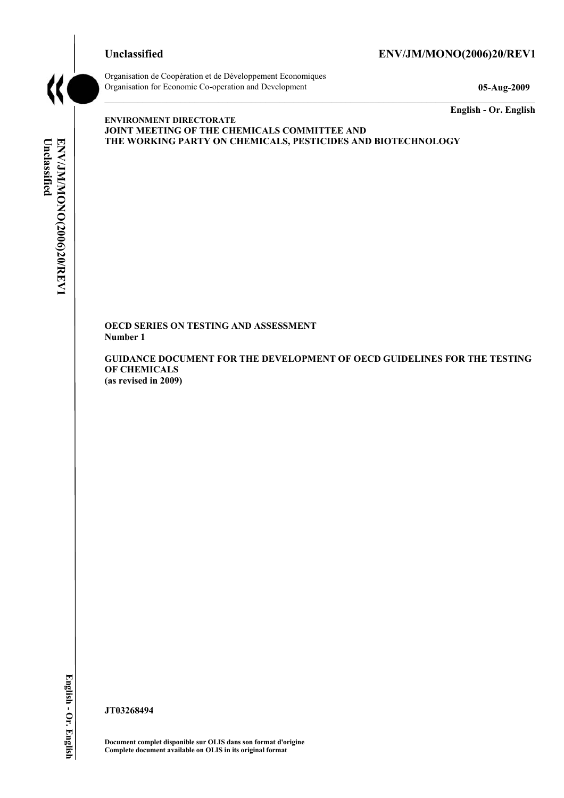**ENVIRONMENT DIRECTORATE** 

### **Unclassified ENV/JM/MONO(2006)20/REV1**



Organisation de Coopération et de Développement Economiques Organisation for Economic Co-operation and Development **05-Aug-2009** 

**JOINT MEETING OF THE CHEMICALS COMMITTEE AND** 

**THE WORKING PARTY ON CHEMICALS, PESTICIDES AND BIOTECHNOLOGY** 

**English - Or. English** 

# Unclassified ENV/JM/MONO(2006)20/REV1 **Unclassified ENV/JM/MONO(2006)20/REV1 English - Or. English**

**OECD SERIES ON TESTING AND ASSESSMENT Number 1** 

**GUIDANCE DOCUMENT FOR THE DEVELOPMENT OF OECD GUIDELINES FOR THE TESTING OF CHEMICALS (as revised in 2009)** 

**JT03268494** 

**Document complet disponible sur OLIS dans son format d'origine Complete document available on OLIS in its original format**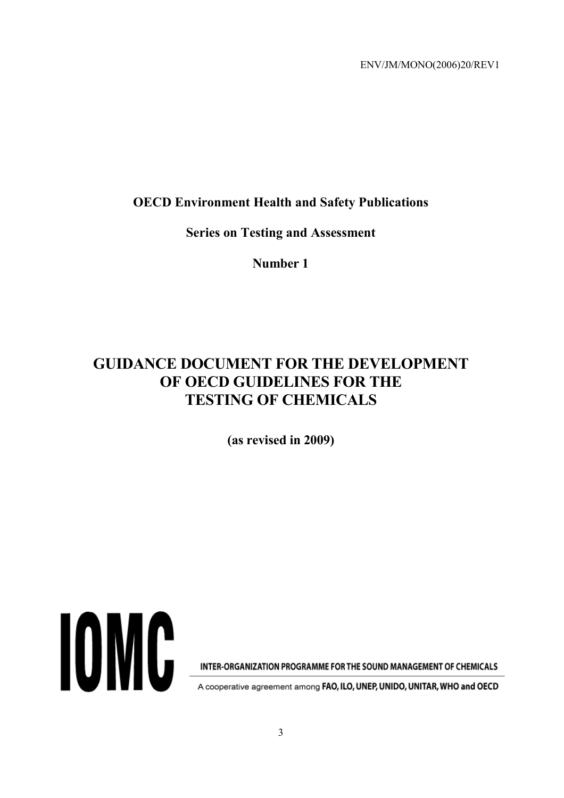# **OECD Environment Health and Safety Publications**

**Series on Testing and Assessment** 

**Number 1** 

# **GUIDANCE DOCUMENT FOR THE DEVELOPMENT OF OECD GUIDELINES FOR THE TESTING OF CHEMICALS**

**(as revised in 2009)** 



INTER-ORGANIZATION PROGRAMME FOR THE SOUND MANAGEMENT OF CHEMICALS

A cooperative agreement among FAO, ILO, UNEP, UNIDO, UNITAR, WHO and OECD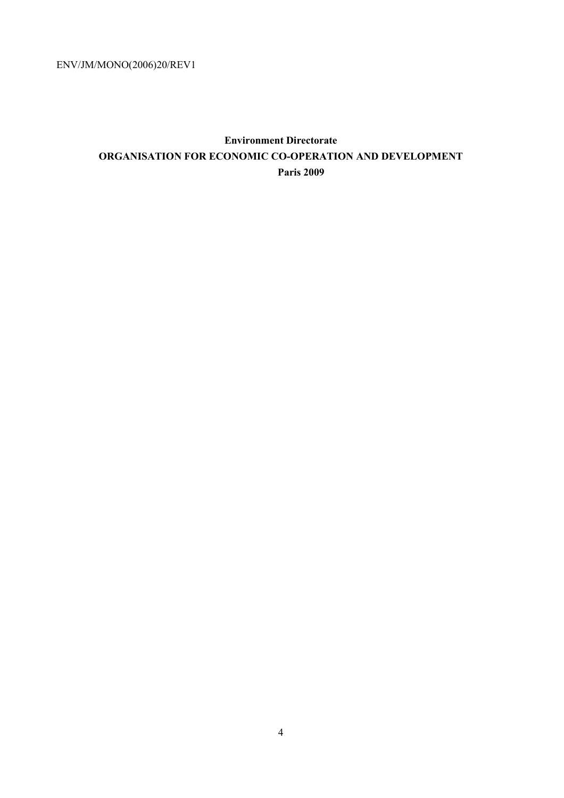# **Environment Directorate ORGANISATION FOR ECONOMIC CO-OPERATION AND DEVELOPMENT Paris 2009**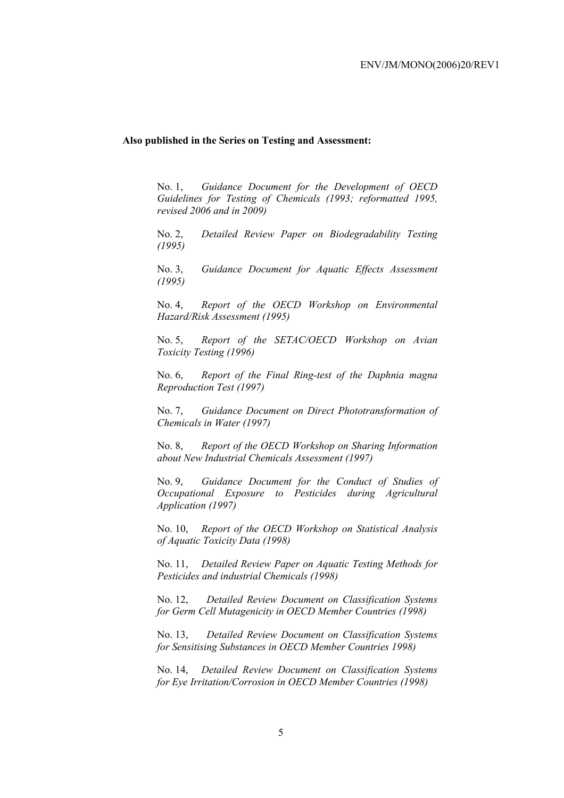#### **Also published in the Series on Testing and Assessment:**

No. 1, *Guidance Document for the Development of OECD Guidelines for Testing of Chemicals (1993; reformatted 1995, revised 2006 and in 2009)*

No. 2, *Detailed Review Paper on Biodegradability Testing (1995)*

No. 3, *Guidance Document for Aquatic Effects Assessment (1995)* 

No. 4, *Report of the OECD Workshop on Environmental Hazard/Risk Assessment (1995)*

No. 5, *Report of the SETAC/OECD Workshop on Avian Toxicity Testing (1996)*

No. 6, *Report of the Final Ring-test of the Daphnia magna Reproduction Test (1997)*

No. 7, *Guidance Document on Direct Phototransformation of Chemicals in Water (1997)* 

No. 8, *Report of the OECD Workshop on Sharing Information about New Industrial Chemicals Assessment (1997)*

No. 9, *Guidance Document for the Conduct of Studies of Occupational Exposure to Pesticides during Agricultural Application (1997)*

No. 10, *Report of the OECD Workshop on Statistical Analysis of Aquatic Toxicity Data (1998)*

No. 11, *Detailed Review Paper on Aquatic Testing Methods for Pesticides and industrial Chemicals (1998)*

No. 12, *Detailed Review Document on Classification Systems for Germ Cell Mutagenicity in OECD Member Countries (1998)*

No. 13, *Detailed Review Document on Classification Systems for Sensitising Substances in OECD Member Countries 1998)*

No. 14, *Detailed Review Document on Classification Systems for Eye Irritation/Corrosion in OECD Member Countries (1998)*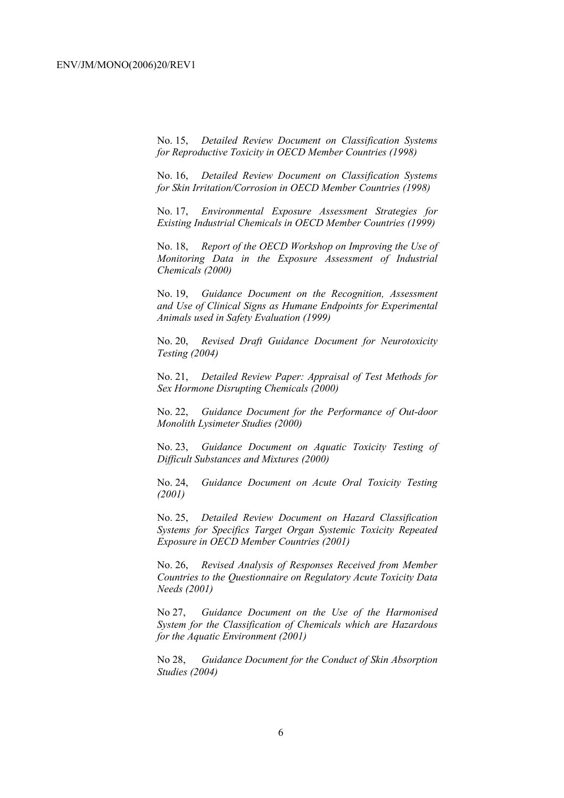No. 15, *Detailed Review Document on Classification Systems for Reproductive Toxicity in OECD Member Countries (1998)*

No. 16, *Detailed Review Document on Classification Systems for Skin Irritation/Corrosion in OECD Member Countries (1998)*

No. 17, *Environmental Exposure Assessment Strategies for Existing Industrial Chemicals in OECD Member Countries (1999)*

No. 18, *Report of the OECD Workshop on Improving the Use of Monitoring Data in the Exposure Assessment of Industrial Chemicals (2000)*

No. 19, *Guidance Document on the Recognition, Assessment and Use of Clinical Signs as Humane Endpoints for Experimental Animals used in Safety Evaluation (1999)*

No. 20, *Revised Draft Guidance Document for Neurotoxicity Testing (2004)*

No. 21, *Detailed Review Paper: Appraisal of Test Methods for Sex Hormone Disrupting Chemicals (2000)*

No. 22, *Guidance Document for the Performance of Out-door Monolith Lysimeter Studies (2000)*

No. 23, *Guidance Document on Aquatic Toxicity Testing of Difficult Substances and Mixtures (2000)*

No. 24, *Guidance Document on Acute Oral Toxicity Testing (2001)*

No. 25, *Detailed Review Document on Hazard Classification Systems for Specifics Target Organ Systemic Toxicity Repeated Exposure in OECD Member Countries (2001)*

No. 26, *Revised Analysis of Responses Received from Member Countries to the Questionnaire on Regulatory Acute Toxicity Data Needs (2001)*

No 27, *Guidance Document on the Use of the Harmonised System for the Classification of Chemicals which are Hazardous for the Aquatic Environment (2001)*

No 28, *Guidance Document for the Conduct of Skin Absorption Studies (2004)*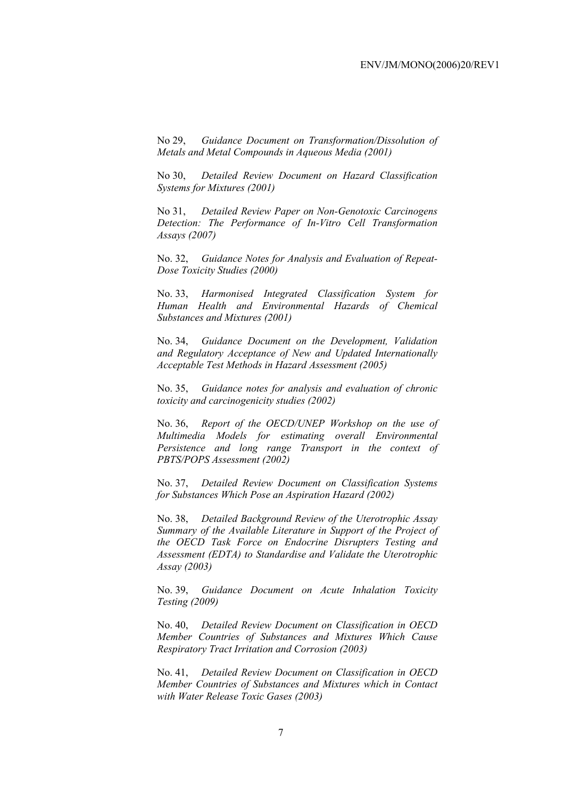No 29, *Guidance Document on Transformation/Dissolution of Metals and Metal Compounds in Aqueous Media (2001)*

No 30, *Detailed Review Document on Hazard Classification Systems for Mixtures (2001)*

No 31, *Detailed Review Paper on Non-Genotoxic Carcinogens Detection: The Performance of In-Vitro Cell Transformation Assays (2007)* 

No. 32, *Guidance Notes for Analysis and Evaluation of Repeat-Dose Toxicity Studies (2000)*

No. 33, *Harmonised Integrated Classification System for Human Health and Environmental Hazards of Chemical Substances and Mixtures (2001)*

No. 34, *Guidance Document on the Development, Validation and Regulatory Acceptance of New and Updated Internationally Acceptable Test Methods in Hazard Assessment (2005)*

No. 35, *Guidance notes for analysis and evaluation of chronic toxicity and carcinogenicity studies (2002)*

No. 36, *Report of the OECD/UNEP Workshop on the use of Multimedia Models for estimating overall Environmental Persistence and long range Transport in the context of PBTS/POPS Assessment (2002)*

No. 37, *Detailed Review Document on Classification Systems for Substances Which Pose an Aspiration Hazard (2002)*

No. 38, *Detailed Background Review of the Uterotrophic Assay Summary of the Available Literature in Support of the Project of the OECD Task Force on Endocrine Disrupters Testing and Assessment (EDTA) to Standardise and Validate the Uterotrophic Assay (2003)*

No. 39, *Guidance Document on Acute Inhalation Toxicity Testing (2009)*

No. 40, *Detailed Review Document on Classification in OECD Member Countries of Substances and Mixtures Which Cause Respiratory Tract Irritation and Corrosion (2003)*

No. 41, *Detailed Review Document on Classification in OECD Member Countries of Substances and Mixtures which in Contact with Water Release Toxic Gases (2003)*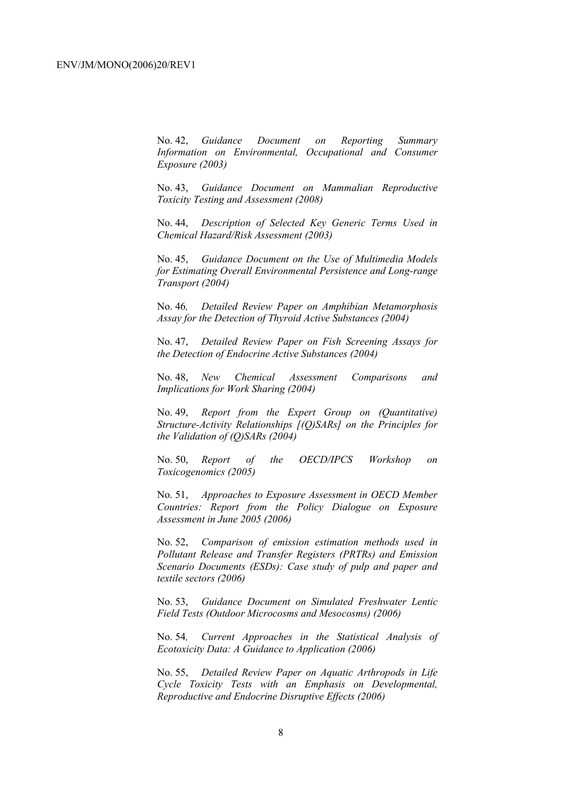No. 42, *Guidance Document on Reporting Summary Information on Environmental, Occupational and Consumer Exposure (2003)*

No. 43, *Guidance Document on Mammalian Reproductive Toxicity Testing and Assessment (2008)*

No. 44, *Description of Selected Key Generic Terms Used in Chemical Hazard/Risk Assessment (2003)* 

No. 45, *Guidance Document on the Use of Multimedia Models for Estimating Overall Environmental Persistence and Long-range Transport (2004)*

No. 46*, Detailed Review Paper on Amphibian Metamorphosis Assay for the Detection of Thyroid Active Substances (2004)* 

No. 47, *Detailed Review Paper on Fish Screening Assays for the Detection of Endocrine Active Substances (2004)* 

No. 48, *New Chemical Assessment Comparisons and Implications for Work Sharing (2004)* 

No. 49, *Report from the Expert Group on (Quantitative) Structure-Activity Relationships [(Q)SARs] on the Principles for the Validation of (Q)SARs (2004)* 

No. 50, *Report of the OECD/IPCS Workshop on Toxicogenomics (2005)* 

No. 51, *Approaches to Exposure Assessment in OECD Member Countries: Report from the Policy Dialogue on Exposure Assessment in June 2005 (2006)* 

No. 52, *Comparison of emission estimation methods used in Pollutant Release and Transfer Registers (PRTRs) and Emission Scenario Documents (ESDs): Case study of pulp and paper and textile sectors (2006)* 

No. 53, *Guidance Document on Simulated Freshwater Lentic Field Tests (Outdoor Microcosms and Mesocosms) (2006)* 

No. 54*, Current Approaches in the Statistical Analysis of Ecotoxicity Data: A Guidance to Application (2006)* 

No. 55, *Detailed Review Paper on Aquatic Arthropods in Life Cycle Toxicity Tests with an Emphasis on Developmental, Reproductive and Endocrine Disruptive Effects (2006)*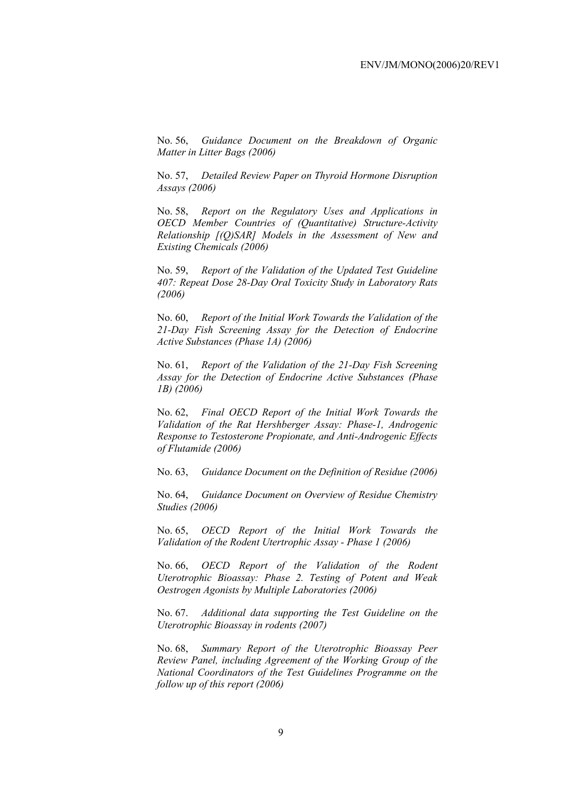No. 56, *Guidance Document on the Breakdown of Organic Matter in Litter Bags (2006)* 

No. 57, *Detailed Review Paper on Thyroid Hormone Disruption Assays (2006)* 

No. 58, *Report on the Regulatory Uses and Applications in OECD Member Countries of (Quantitative) Structure-Activity Relationship [(Q)SAR] Models in the Assessment of New and Existing Chemicals (2006)* 

No. 59, *Report of the Validation of the Updated Test Guideline 407: Repeat Dose 28-Day Oral Toxicity Study in Laboratory Rats (2006)* 

No. 60, *Report of the Initial Work Towards the Validation of the 21-Day Fish Screening Assay for the Detection of Endocrine Active Substances (Phase 1A) (2006)* 

No. 61, *Report of the Validation of the 21-Day Fish Screening Assay for the Detection of Endocrine Active Substances (Phase 1B) (2006)* 

No. 62, *Final OECD Report of the Initial Work Towards the Validation of the Rat Hershberger Assay: Phase-1, Androgenic Response to Testosterone Propionate, and Anti-Androgenic Effects of Flutamide (2006)* 

No. 63, *Guidance Document on the Definition of Residue (2006)* 

No. 64, *Guidance Document on Overview of Residue Chemistry Studies (2006)* 

No. 65, *OECD Report of the Initial Work Towards the Validation of the Rodent Utertrophic Assay - Phase 1 (2006)* 

No. 66, *OECD Report of the Validation of the Rodent Uterotrophic Bioassay: Phase 2. Testing of Potent and Weak Oestrogen Agonists by Multiple Laboratories (2006)* 

No. 67. *Additional data supporting the Test Guideline on the Uterotrophic Bioassay in rodents (2007)* 

No. 68, *Summary Report of the Uterotrophic Bioassay Peer Review Panel, including Agreement of the Working Group of the National Coordinators of the Test Guidelines Programme on the follow up of this report (2006)*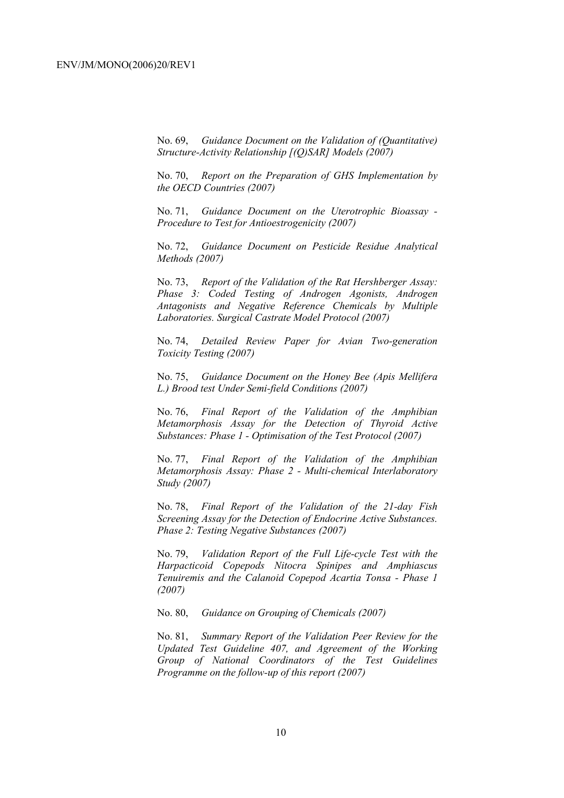No. 69, *Guidance Document on the Validation of (Quantitative) Structure-Activity Relationship [(Q)SAR] Models (2007)* 

No. 70, *Report on the Preparation of GHS Implementation by the OECD Countries (2007)*

No. 71, *Guidance Document on the Uterotrophic Bioassay - Procedure to Test for Antioestrogenicity (2007)*

No. 72, *Guidance Document on Pesticide Residue Analytical Methods (2007)* 

No. 73, *Report of the Validation of the Rat Hershberger Assay: Phase 3: Coded Testing of Androgen Agonists, Androgen Antagonists and Negative Reference Chemicals by Multiple Laboratories. Surgical Castrate Model Protocol (2007)* 

No. 74, *Detailed Review Paper for Avian Two-generation Toxicity Testing (2007)*

No. 75, *Guidance Document on the Honey Bee (Apis Mellifera L.) Brood test Under Semi-field Conditions (2007)* 

No. 76, *Final Report of the Validation of the Amphibian Metamorphosis Assay for the Detection of Thyroid Active Substances: Phase 1 - Optimisation of the Test Protocol (2007)* 

No. 77, *Final Report of the Validation of the Amphibian Metamorphosis Assay: Phase 2 - Multi-chemical Interlaboratory Study (2007)* 

No. 78, *Final Report of the Validation of the 21-day Fish Screening Assay for the Detection of Endocrine Active Substances. Phase 2: Testing Negative Substances (2007)* 

No. 79, *Validation Report of the Full Life-cycle Test with the Harpacticoid Copepods Nitocra Spinipes and Amphiascus Tenuiremis and the Calanoid Copepod Acartia Tonsa - Phase 1 (2007)* 

No. 80, *Guidance on Grouping of Chemicals (2007)* 

No. 81, *Summary Report of the Validation Peer Review for the Updated Test Guideline 407, and Agreement of the Working Group of National Coordinators of the Test Guidelines Programme on the follow-up of this report (2007)*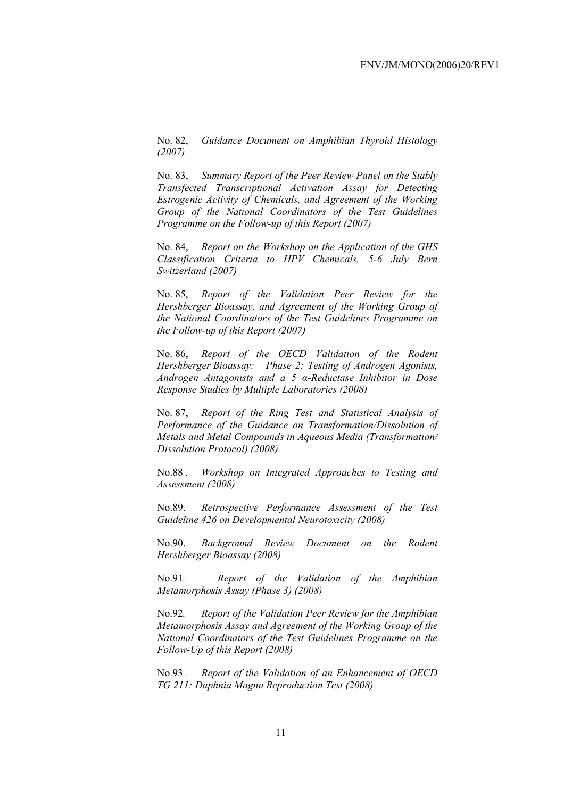No. 82, *Guidance Document on Amphibian Thyroid Histology (2007)* 

No. 83, *Summary Report of the Peer Review Panel on the Stably Transfected Transcriptional Activation Assay for Detecting Estrogenic Activity of Chemicals, and Agreement of the Working Group of the National Coordinators of the Test Guidelines Programme on the Follow-up of this Report (2007)* 

No. 84, *Report on the Workshop on the Application of the GHS Classification Criteria to HPV Chemicals, 5-6 July Bern Switzerland (2007)* 

No. 85, *Report of the Validation Peer Review for the Hershberger Bioassay, and Agreement of the Working Group of the National Coordinators of the Test Guidelines Programme on the Follow-up of this Report (2007)* 

No. 86, *Report of the OECD Validation of the Rodent Hershberger Bioassay: Phase 2: Testing of Androgen Agonists, Androgen Antagonists and a 5 α-Reductase Inhibitor in Dose Response Studies by Multiple Laboratories (2008)*

No. 87, *Report of the Ring Test and Statistical Analysis of Performance of the Guidance on Transformation/Dissolution of Metals and Metal Compounds in Aqueous Media (Transformation/ Dissolution Protocol) (2008)*

No.88 . *Workshop on Integrated Approaches to Testing and Assessment (2008)* 

No.89. *Retrospective Performance Assessment of the Test Guideline 426 on Developmental Neurotoxicity (2008)* 

No.90. *Background Review Document on the Rodent Hershberger Bioassay (2008)* 

No.91*. Report of the Validation of the Amphibian Metamorphosis Assay (Phase 3) (2008)* 

No.92*. Report of the Validation Peer Review for the Amphibian Metamorphosis Assay and Agreement of the Working Group of the National Coordinators of the Test Guidelines Programme on the Follow-Up of this Report (2008)* 

No.93 *. Report of the Validation of an Enhancement of OECD TG 211: Daphnia Magna Reproduction Test (2008)*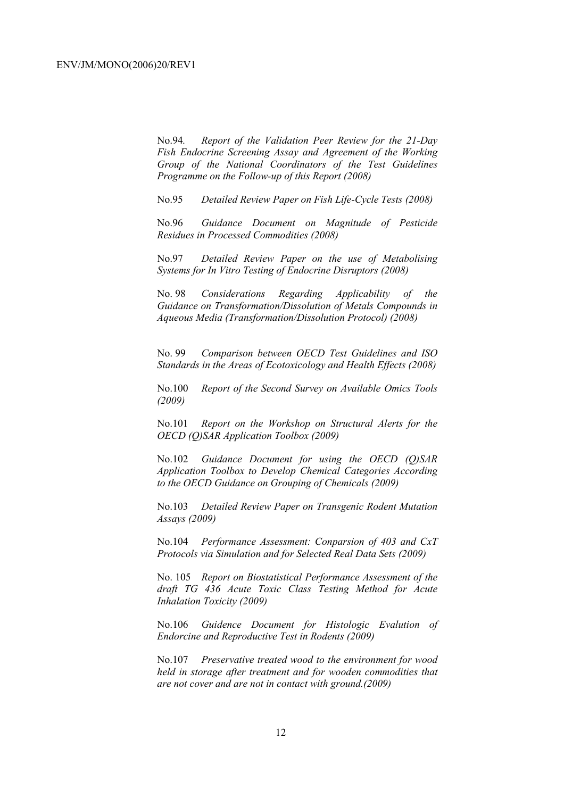No.94*. Report of the Validation Peer Review for the 21-Day Fish Endocrine Screening Assay and Agreement of the Working Group of the National Coordinators of the Test Guidelines Programme on the Follow-up of this Report (2008)* 

No.95 *Detailed Review Paper on Fish Life-Cycle Tests (2008)* 

No.96 *Guidance Document on Magnitude of Pesticide Residues in Processed Commodities (2008)* 

No.97 *Detailed Review Paper on the use of Metabolising Systems for In Vitro Testing of Endocrine Disruptors (2008)* 

No. 98 *Considerations Regarding Applicability of the Guidance on Transformation/Dissolution of Metals Compounds in Aqueous Media (Transformation/Dissolution Protocol) (2008)*

No. 99 *Comparison between OECD Test Guidelines and ISO Standards in the Areas of Ecotoxicology and Health Effects (2008)* 

No.100 *Report of the Second Survey on Available Omics Tools (2009)* 

No.101 *Report on the Workshop on Structural Alerts for the OECD (Q)SAR Application Toolbox (2009)* 

No.102 *Guidance Document for using the OECD (Q)SAR Application Toolbox to Develop Chemical Categories According to the OECD Guidance on Grouping of Chemicals (2009)* 

No.103 *Detailed Review Paper on Transgenic Rodent Mutation Assays (2009)* 

No.104 *Performance Assessment: Conparsion of 403 and CxT Protocols via Simulation and for Selected Real Data Sets (2009)* 

No. 105 *Report on Biostatistical Performance Assessment of the draft TG 436 Acute Toxic Class Testing Method for Acute Inhalation Toxicity (2009)* 

No.106 *Guidence Document for Histologic Evalution of Endorcine and Reproductive Test in Rodents (2009)* 

No.107 *Preservative treated wood to the environment for wood held in storage after treatment and for wooden commodities that are not cover and are not in contact with ground.(2009)*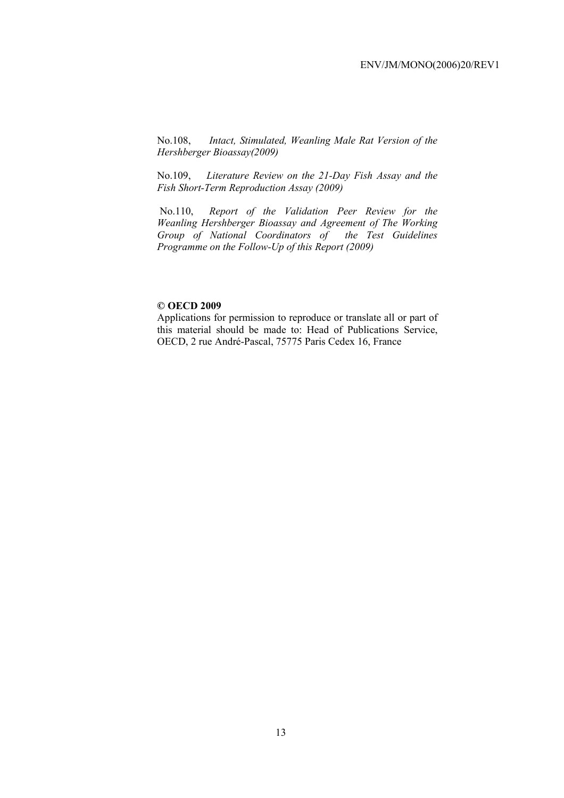No.108, *Intact, Stimulated, Weanling Male Rat Version of the Hershberger Bioassay(2009)* 

No.109, *Literature Review on the 21-Day Fish Assay and the Fish Short-Term Reproduction Assay (2009)* 

 No.110, *Report of the Validation Peer Review for the Weanling Hershberger Bioassay and Agreement of The Working Group of National Coordinators of the Test Guidelines Programme on the Follow-Up of this Report (2009)* 

#### **© OECD 2009**

Applications for permission to reproduce or translate all or part of this material should be made to: Head of Publications Service, OECD, 2 rue André-Pascal, 75775 Paris Cedex 16, France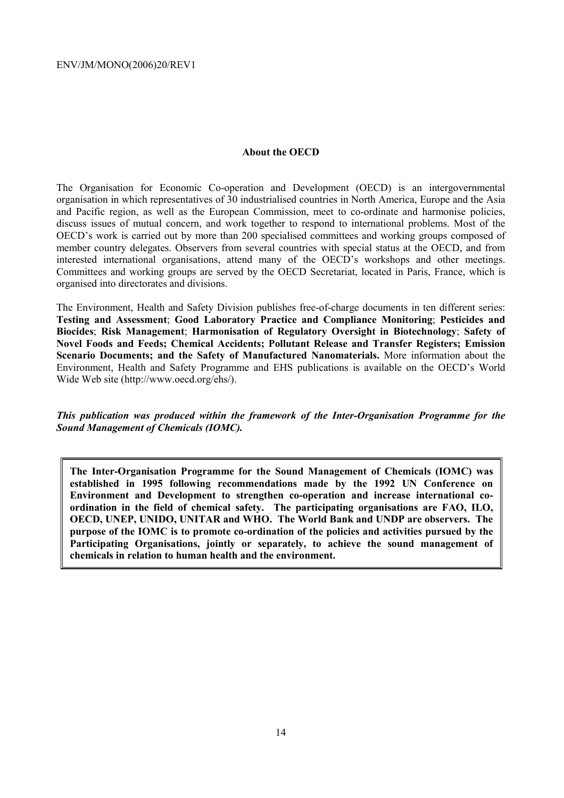#### **About the OECD**

The Organisation for Economic Co-operation and Development (OECD) is an intergovernmental organisation in which representatives of 30 industrialised countries in North America, Europe and the Asia and Pacific region, as well as the European Commission, meet to co-ordinate and harmonise policies, discuss issues of mutual concern, and work together to respond to international problems. Most of the OECD's work is carried out by more than 200 specialised committees and working groups composed of member country delegates. Observers from several countries with special status at the OECD, and from interested international organisations, attend many of the OECD's workshops and other meetings. Committees and working groups are served by the OECD Secretariat, located in Paris, France, which is organised into directorates and divisions.

The Environment, Health and Safety Division publishes free-of-charge documents in ten different series: **Testing and Assessment**; **Good Laboratory Practice and Compliance Monitoring**; **Pesticides and Biocides**; **Risk Management**; **Harmonisation of Regulatory Oversight in Biotechnology**; **Safety of Novel Foods and Feeds; Chemical Accidents; Pollutant Release and Transfer Registers; Emission Scenario Documents; and the Safety of Manufactured Nanomaterials.** More information about the Environment, Health and Safety Programme and EHS publications is available on the OECD's World Wide Web site (http://www.oecd.org/ehs/).

*This publication was produced within the framework of the Inter-Organisation Programme for the Sound Management of Chemicals (IOMC).* 

**The Inter-Organisation Programme for the Sound Management of Chemicals (IOMC) was established in 1995 following recommendations made by the 1992 UN Conference on Environment and Development to strengthen co-operation and increase international coordination in the field of chemical safety. The participating organisations are FAO, ILO, OECD, UNEP, UNIDO, UNITAR and WHO. The World Bank and UNDP are observers. The purpose of the IOMC is to promote co-ordination of the policies and activities pursued by the Participating Organisations, jointly or separately, to achieve the sound management of chemicals in relation to human health and the environment.**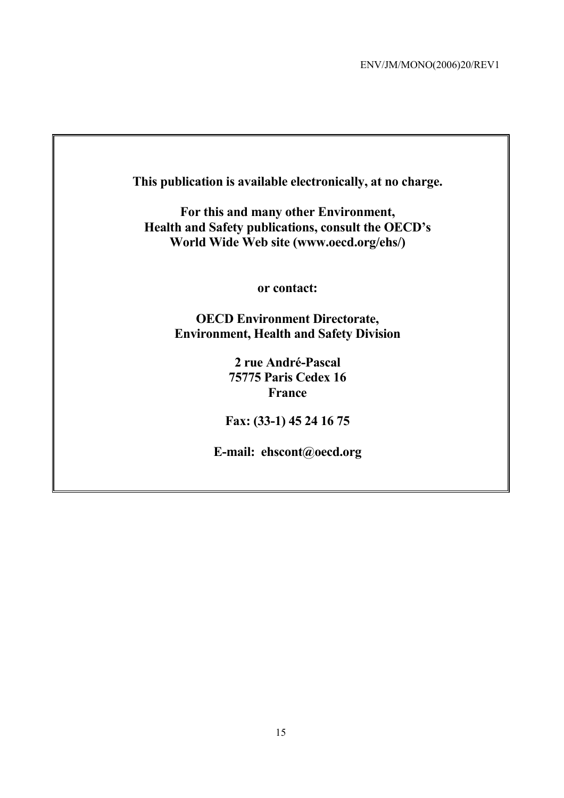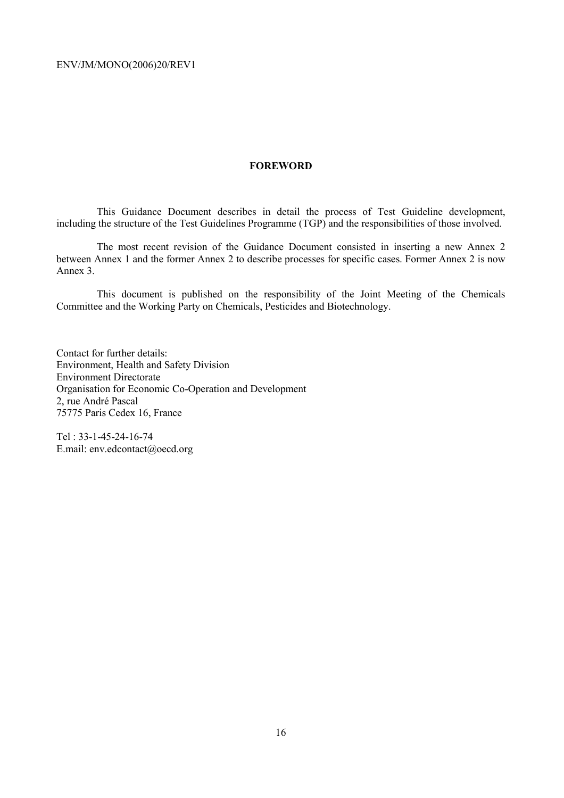#### **FOREWORD**

This Guidance Document describes in detail the process of Test Guideline development, including the structure of the Test Guidelines Programme (TGP) and the responsibilities of those involved.

The most recent revision of the Guidance Document consisted in inserting a new Annex 2 between Annex 1 and the former Annex 2 to describe processes for specific cases. Former Annex 2 is now Annex 3.

This document is published on the responsibility of the Joint Meeting of the Chemicals Committee and the Working Party on Chemicals, Pesticides and Biotechnology.

Contact for further details: Environment, Health and Safety Division Environment Directorate Organisation for Economic Co-Operation and Development 2, rue André Pascal 75775 Paris Cedex 16, France

Tel : 33-1-45-24-16-74 E.mail: env.edcontact@oecd.org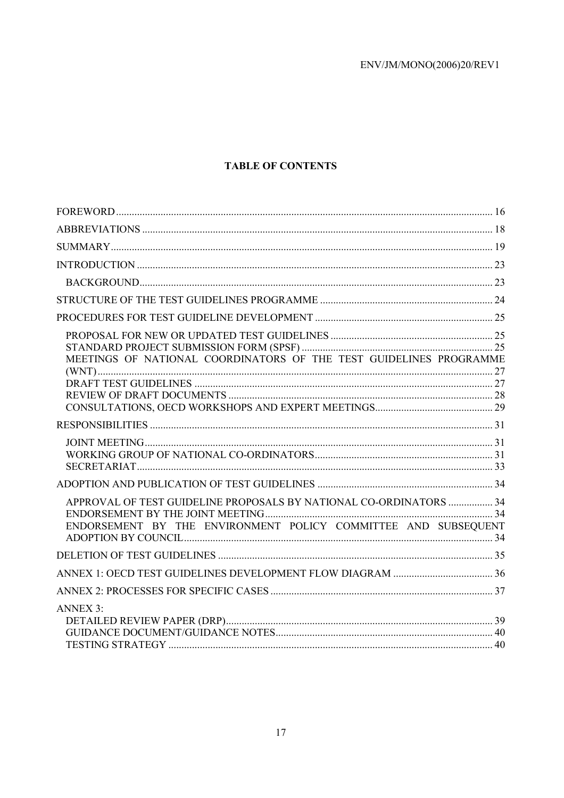# **TABLE OF CONTENTS**

| MEETINGS OF NATIONAL COORDINATORS OF THE TEST GUIDELINES PROGRAMME                                                                   |  |
|--------------------------------------------------------------------------------------------------------------------------------------|--|
|                                                                                                                                      |  |
|                                                                                                                                      |  |
|                                                                                                                                      |  |
|                                                                                                                                      |  |
|                                                                                                                                      |  |
|                                                                                                                                      |  |
| APPROVAL OF TEST GUIDELINE PROPOSALS BY NATIONAL CO-ORDINATORS  34<br>ENDORSEMENT BY THE ENVIRONMENT POLICY COMMITTEE AND SUBSEQUENT |  |
|                                                                                                                                      |  |
|                                                                                                                                      |  |
|                                                                                                                                      |  |
| <b>ANNEX 3:</b>                                                                                                                      |  |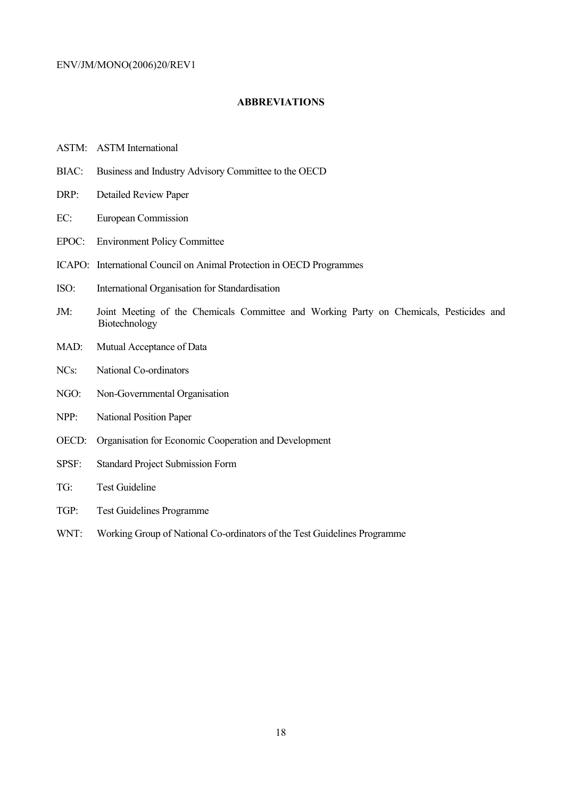#### **ABBREVIATIONS**

- ASTM: ASTM International
- BIAC: Business and Industry Advisory Committee to the OECD
- DRP: Detailed Review Paper
- EC: European Commission
- EPOC: Environment Policy Committee
- ICAPO: International Council on Animal Protection in OECD Programmes
- ISO: International Organisation for Standardisation
- JM: Joint Meeting of the Chemicals Committee and Working Party on Chemicals, Pesticides and Biotechnology
- MAD: Mutual Acceptance of Data
- NCs: National Co-ordinators
- NGO: Non-Governmental Organisation
- NPP: National Position Paper
- OECD: Organisation for Economic Cooperation and Development
- SPSF: Standard Project Submission Form
- TG: Test Guideline
- TGP: Test Guidelines Programme
- WNT: Working Group of National Co-ordinators of the Test Guidelines Programme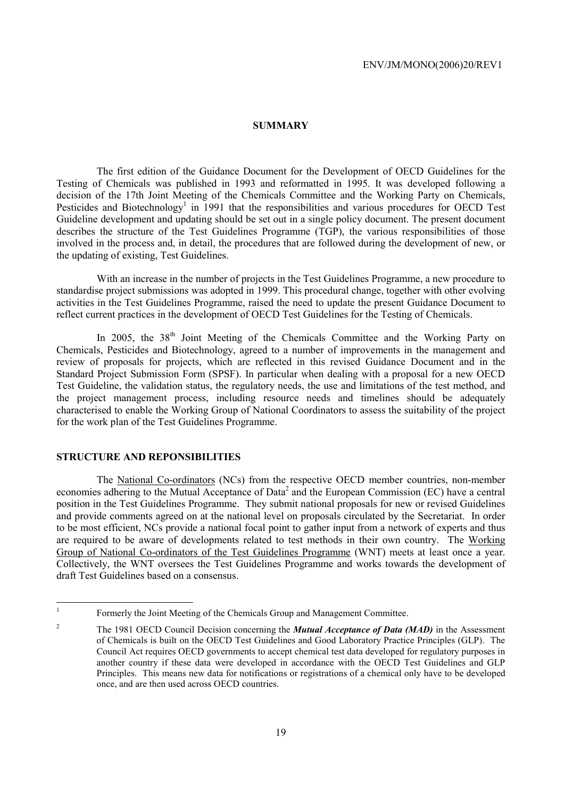#### **SUMMARY**

The first edition of the Guidance Document for the Development of OECD Guidelines for the Testing of Chemicals was published in 1993 and reformatted in 1995. It was developed following a decision of the 17th Joint Meeting of the Chemicals Committee and the Working Party on Chemicals, Pesticides and Biotechnology<sup>1</sup> in 1991 that the responsibilities and various procedures for OECD Test Guideline development and updating should be set out in a single policy document. The present document describes the structure of the Test Guidelines Programme (TGP), the various responsibilities of those involved in the process and, in detail, the procedures that are followed during the development of new, or the updating of existing, Test Guidelines.

With an increase in the number of projects in the Test Guidelines Programme, a new procedure to standardise project submissions was adopted in 1999. This procedural change, together with other evolving activities in the Test Guidelines Programme, raised the need to update the present Guidance Document to reflect current practices in the development of OECD Test Guidelines for the Testing of Chemicals.

In 2005, the  $38<sup>th</sup>$  Joint Meeting of the Chemicals Committee and the Working Party on Chemicals, Pesticides and Biotechnology, agreed to a number of improvements in the management and review of proposals for projects, which are reflected in this revised Guidance Document and in the Standard Project Submission Form (SPSF). In particular when dealing with a proposal for a new OECD Test Guideline, the validation status, the regulatory needs, the use and limitations of the test method, and the project management process, including resource needs and timelines should be adequately characterised to enable the Working Group of National Coordinators to assess the suitability of the project for the work plan of the Test Guidelines Programme.

#### **STRUCTURE AND REPONSIBILITIES**

The National Co-ordinators (NCs) from the respective OECD member countries, non-member economies adhering to the Mutual Acceptance of Data<sup>2</sup> and the European Commission (EC) have a central position in the Test Guidelines Programme. They submit national proposals for new or revised Guidelines and provide comments agreed on at the national level on proposals circulated by the Secretariat. In order to be most efficient, NCs provide a national focal point to gather input from a network of experts and thus are required to be aware of developments related to test methods in their own country. The Working Group of National Co-ordinators of the Test Guidelines Programme (WNT) meets at least once a year. Collectively, the WNT oversees the Test Guidelines Programme and works towards the development of draft Test Guidelines based on a consensus.

<sup>|&</sup>lt;br>|<br>|

Formerly the Joint Meeting of the Chemicals Group and Management Committee.

<sup>2</sup> The 1981 OECD Council Decision concerning the *Mutual Acceptance of Data (MAD)* in the Assessment of Chemicals is built on the OECD Test Guidelines and Good Laboratory Practice Principles (GLP). The Council Act requires OECD governments to accept chemical test data developed for regulatory purposes in another country if these data were developed in accordance with the OECD Test Guidelines and GLP Principles. This means new data for notifications or registrations of a chemical only have to be developed once, and are then used across OECD countries.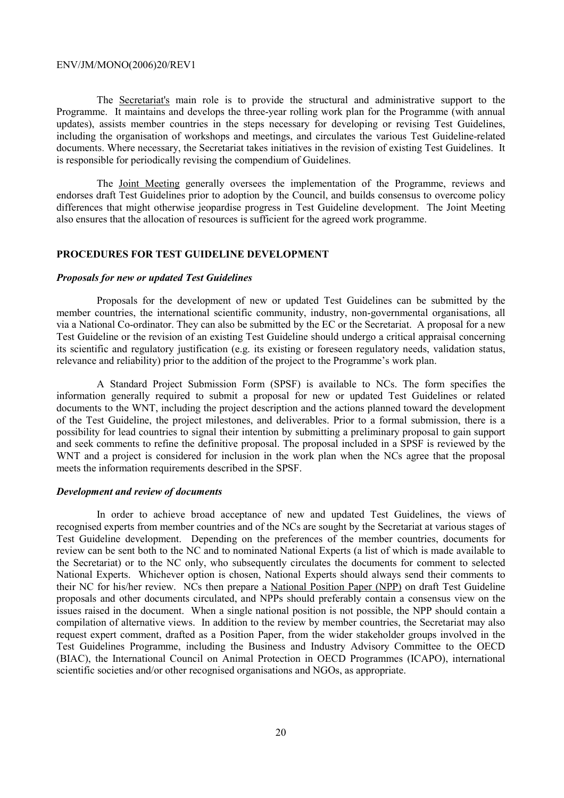The Secretariat's main role is to provide the structural and administrative support to the Programme. It maintains and develops the three-year rolling work plan for the Programme (with annual updates), assists member countries in the steps necessary for developing or revising Test Guidelines, including the organisation of workshops and meetings, and circulates the various Test Guideline-related documents. Where necessary, the Secretariat takes initiatives in the revision of existing Test Guidelines. It is responsible for periodically revising the compendium of Guidelines.

The Joint Meeting generally oversees the implementation of the Programme, reviews and endorses draft Test Guidelines prior to adoption by the Council, and builds consensus to overcome policy differences that might otherwise jeopardise progress in Test Guideline development. The Joint Meeting also ensures that the allocation of resources is sufficient for the agreed work programme.

#### **PROCEDURES FOR TEST GUIDELINE DEVELOPMENT**

#### *Proposals for new or updated Test Guidelines*

Proposals for the development of new or updated Test Guidelines can be submitted by the member countries, the international scientific community, industry, non-governmental organisations, all via a National Co-ordinator. They can also be submitted by the EC or the Secretariat. A proposal for a new Test Guideline or the revision of an existing Test Guideline should undergo a critical appraisal concerning its scientific and regulatory justification (e.g. its existing or foreseen regulatory needs, validation status, relevance and reliability) prior to the addition of the project to the Programme's work plan.

A Standard Project Submission Form (SPSF) is available to NCs. The form specifies the information generally required to submit a proposal for new or updated Test Guidelines or related documents to the WNT, including the project description and the actions planned toward the development of the Test Guideline, the project milestones, and deliverables. Prior to a formal submission, there is a possibility for lead countries to signal their intention by submitting a preliminary proposal to gain support and seek comments to refine the definitive proposal. The proposal included in a SPSF is reviewed by the WNT and a project is considered for inclusion in the work plan when the NCs agree that the proposal meets the information requirements described in the SPSF.

#### *Development and review of documents*

In order to achieve broad acceptance of new and updated Test Guidelines, the views of recognised experts from member countries and of the NCs are sought by the Secretariat at various stages of Test Guideline development. Depending on the preferences of the member countries, documents for review can be sent both to the NC and to nominated National Experts (a list of which is made available to the Secretariat) or to the NC only, who subsequently circulates the documents for comment to selected National Experts. Whichever option is chosen, National Experts should always send their comments to their NC for his/her review. NCs then prepare a National Position Paper (NPP) on draft Test Guideline proposals and other documents circulated, and NPPs should preferably contain a consensus view on the issues raised in the document. When a single national position is not possible, the NPP should contain a compilation of alternative views. In addition to the review by member countries, the Secretariat may also request expert comment, drafted as a Position Paper, from the wider stakeholder groups involved in the Test Guidelines Programme, including the Business and Industry Advisory Committee to the OECD (BIAC), the International Council on Animal Protection in OECD Programmes (ICAPO), international scientific societies and/or other recognised organisations and NGOs, as appropriate.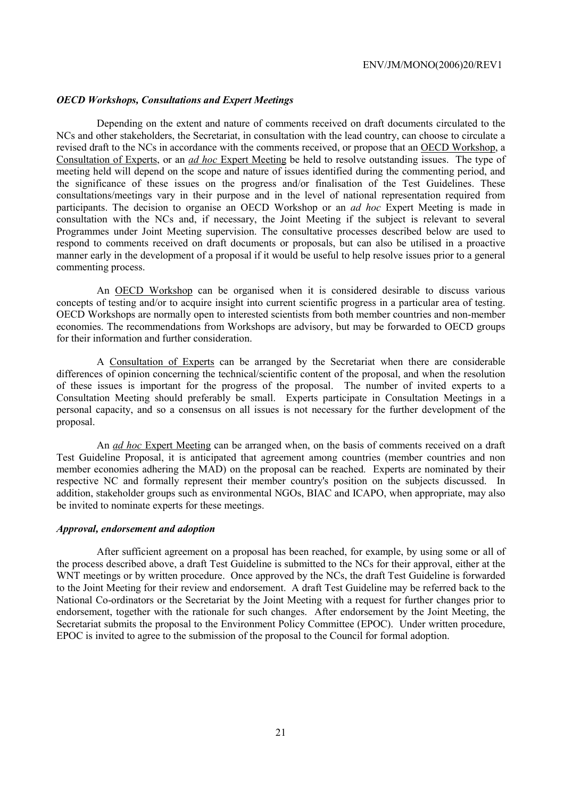#### *OECD Workshops, Consultations and Expert Meetings*

Depending on the extent and nature of comments received on draft documents circulated to the NCs and other stakeholders, the Secretariat, in consultation with the lead country, can choose to circulate a revised draft to the NCs in accordance with the comments received, or propose that an OECD Workshop, a Consultation of Experts, or an *ad hoc* Expert Meeting be held to resolve outstanding issues. The type of meeting held will depend on the scope and nature of issues identified during the commenting period, and the significance of these issues on the progress and/or finalisation of the Test Guidelines. These consultations/meetings vary in their purpose and in the level of national representation required from participants. The decision to organise an OECD Workshop or an *ad hoc* Expert Meeting is made in consultation with the NCs and, if necessary, the Joint Meeting if the subject is relevant to several Programmes under Joint Meeting supervision. The consultative processes described below are used to respond to comments received on draft documents or proposals, but can also be utilised in a proactive manner early in the development of a proposal if it would be useful to help resolve issues prior to a general commenting process.

An OECD Workshop can be organised when it is considered desirable to discuss various concepts of testing and/or to acquire insight into current scientific progress in a particular area of testing. OECD Workshops are normally open to interested scientists from both member countries and non-member economies. The recommendations from Workshops are advisory, but may be forwarded to OECD groups for their information and further consideration.

A Consultation of Experts can be arranged by the Secretariat when there are considerable differences of opinion concerning the technical/scientific content of the proposal, and when the resolution of these issues is important for the progress of the proposal. The number of invited experts to a Consultation Meeting should preferably be small. Experts participate in Consultation Meetings in a personal capacity, and so a consensus on all issues is not necessary for the further development of the proposal.

An *ad hoc* Expert Meeting can be arranged when, on the basis of comments received on a draft Test Guideline Proposal, it is anticipated that agreement among countries (member countries and non member economies adhering the MAD) on the proposal can be reached. Experts are nominated by their respective NC and formally represent their member country's position on the subjects discussed. In addition, stakeholder groups such as environmental NGOs, BIAC and ICAPO, when appropriate, may also be invited to nominate experts for these meetings.

#### *Approval, endorsement and adoption*

After sufficient agreement on a proposal has been reached, for example, by using some or all of the process described above, a draft Test Guideline is submitted to the NCs for their approval, either at the WNT meetings or by written procedure. Once approved by the NCs, the draft Test Guideline is forwarded to the Joint Meeting for their review and endorsement. A draft Test Guideline may be referred back to the National Co-ordinators or the Secretariat by the Joint Meeting with a request for further changes prior to endorsement, together with the rationale for such changes. After endorsement by the Joint Meeting, the Secretariat submits the proposal to the Environment Policy Committee (EPOC). Under written procedure, EPOC is invited to agree to the submission of the proposal to the Council for formal adoption.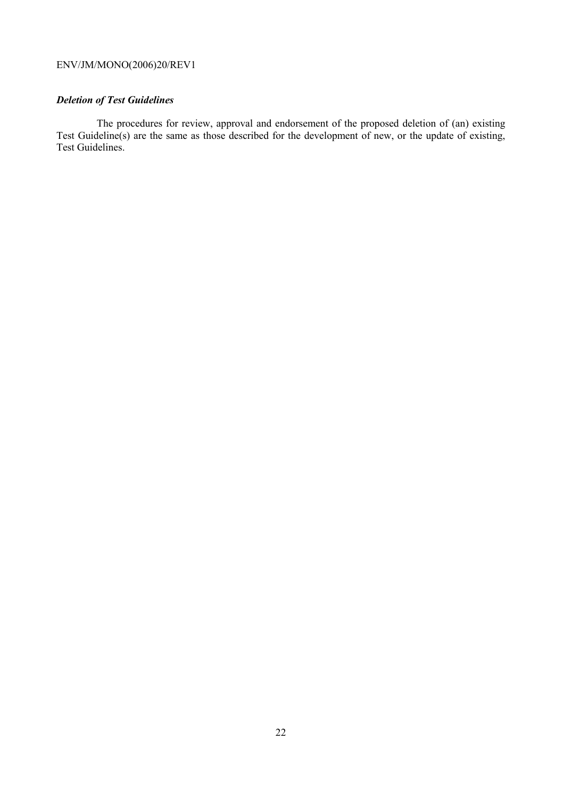# *Deletion of Test Guidelines*

The procedures for review, approval and endorsement of the proposed deletion of (an) existing Test Guideline(s) are the same as those described for the development of new, or the update of existing, Test Guidelines.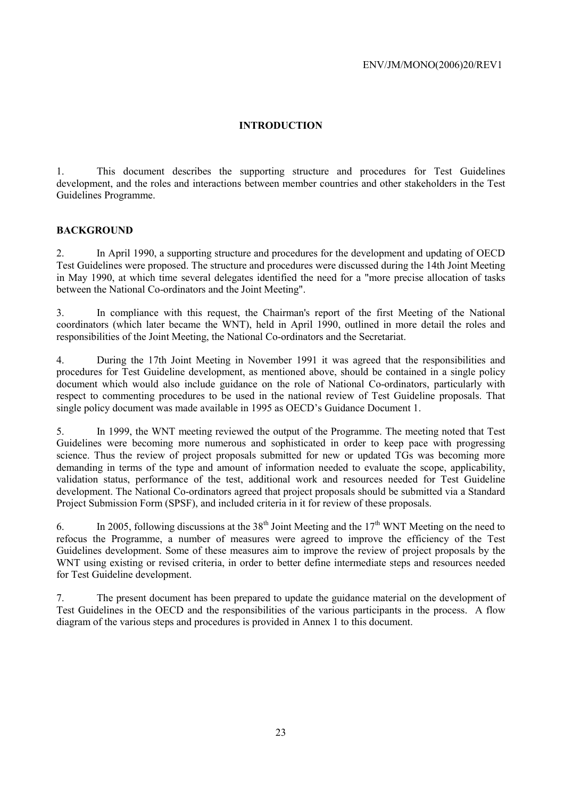#### **INTRODUCTION**

1. This document describes the supporting structure and procedures for Test Guidelines development, and the roles and interactions between member countries and other stakeholders in the Test Guidelines Programme.

#### **BACKGROUND**

2. In April 1990, a supporting structure and procedures for the development and updating of OECD Test Guidelines were proposed. The structure and procedures were discussed during the 14th Joint Meeting in May 1990, at which time several delegates identified the need for a "more precise allocation of tasks between the National Co-ordinators and the Joint Meeting".

3. In compliance with this request, the Chairman's report of the first Meeting of the National coordinators (which later became the WNT), held in April 1990, outlined in more detail the roles and responsibilities of the Joint Meeting, the National Co-ordinators and the Secretariat.

4. During the 17th Joint Meeting in November 1991 it was agreed that the responsibilities and procedures for Test Guideline development, as mentioned above, should be contained in a single policy document which would also include guidance on the role of National Co-ordinators, particularly with respect to commenting procedures to be used in the national review of Test Guideline proposals. That single policy document was made available in 1995 as OECD's Guidance Document 1.

5. In 1999, the WNT meeting reviewed the output of the Programme. The meeting noted that Test Guidelines were becoming more numerous and sophisticated in order to keep pace with progressing science. Thus the review of project proposals submitted for new or updated TGs was becoming more demanding in terms of the type and amount of information needed to evaluate the scope, applicability, validation status, performance of the test, additional work and resources needed for Test Guideline development. The National Co-ordinators agreed that project proposals should be submitted via a Standard Project Submission Form (SPSF), and included criteria in it for review of these proposals.

6. In 2005, following discussions at the 38<sup>th</sup> Joint Meeting and the 17<sup>th</sup> WNT Meeting on the need to refocus the Programme, a number of measures were agreed to improve the efficiency of the Test Guidelines development. Some of these measures aim to improve the review of project proposals by the WNT using existing or revised criteria, in order to better define intermediate steps and resources needed for Test Guideline development.

7. The present document has been prepared to update the guidance material on the development of Test Guidelines in the OECD and the responsibilities of the various participants in the process. A flow diagram of the various steps and procedures is provided in Annex 1 to this document.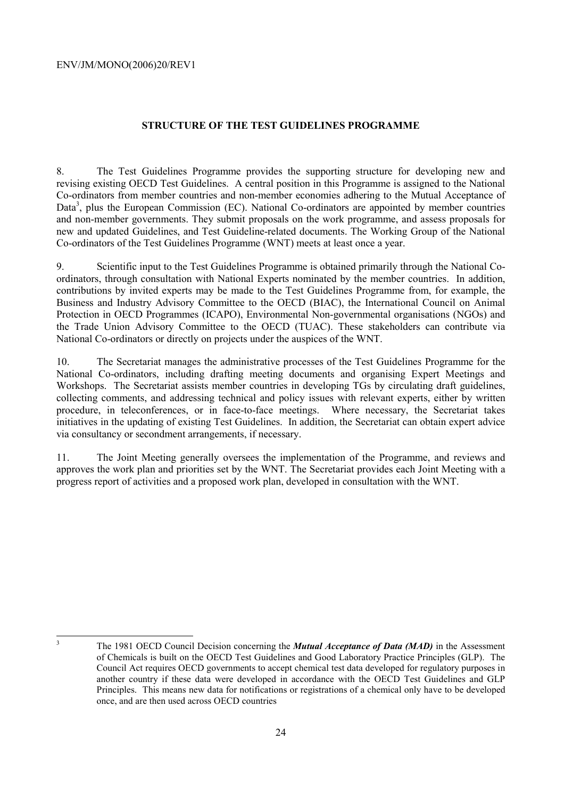#### **STRUCTURE OF THE TEST GUIDELINES PROGRAMME**

8. The Test Guidelines Programme provides the supporting structure for developing new and revising existing OECD Test Guidelines. A central position in this Programme is assigned to the National Co-ordinators from member countries and non-member economies adhering to the Mutual Acceptance of Data<sup>3</sup>, plus the European Commission (EC). National Co-ordinators are appointed by member countries and non-member governments. They submit proposals on the work programme, and assess proposals for new and updated Guidelines, and Test Guideline-related documents. The Working Group of the National Co-ordinators of the Test Guidelines Programme (WNT) meets at least once a year.

9. Scientific input to the Test Guidelines Programme is obtained primarily through the National Coordinators, through consultation with National Experts nominated by the member countries. In addition, contributions by invited experts may be made to the Test Guidelines Programme from, for example, the Business and Industry Advisory Committee to the OECD (BIAC), the International Council on Animal Protection in OECD Programmes (ICAPO), Environmental Non-governmental organisations (NGOs) and the Trade Union Advisory Committee to the OECD (TUAC). These stakeholders can contribute via National Co-ordinators or directly on projects under the auspices of the WNT.

10. The Secretariat manages the administrative processes of the Test Guidelines Programme for the National Co-ordinators, including drafting meeting documents and organising Expert Meetings and Workshops. The Secretariat assists member countries in developing TGs by circulating draft guidelines, collecting comments, and addressing technical and policy issues with relevant experts, either by written procedure, in teleconferences, or in face-to-face meetings. Where necessary, the Secretariat takes initiatives in the updating of existing Test Guidelines. In addition, the Secretariat can obtain expert advice via consultancy or secondment arrangements, if necessary.

11. The Joint Meeting generally oversees the implementation of the Programme, and reviews and approves the work plan and priorities set by the WNT. The Secretariat provides each Joint Meeting with a progress report of activities and a proposed work plan, developed in consultation with the WNT.

3

The 1981 OECD Council Decision concerning the *Mutual Acceptance of Data (MAD)* in the Assessment of Chemicals is built on the OECD Test Guidelines and Good Laboratory Practice Principles (GLP). The Council Act requires OECD governments to accept chemical test data developed for regulatory purposes in another country if these data were developed in accordance with the OECD Test Guidelines and GLP Principles. This means new data for notifications or registrations of a chemical only have to be developed once, and are then used across OECD countries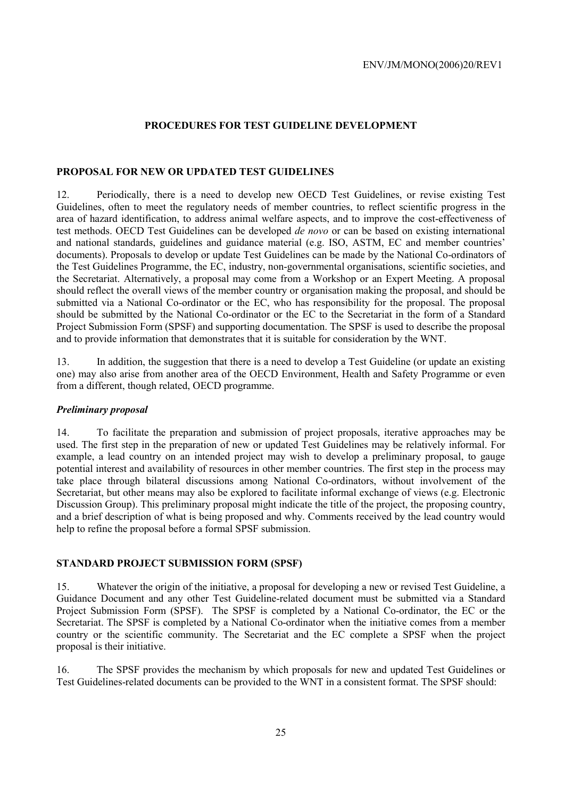#### **PROCEDURES FOR TEST GUIDELINE DEVELOPMENT**

#### **PROPOSAL FOR NEW OR UPDATED TEST GUIDELINES**

12. Periodically, there is a need to develop new OECD Test Guidelines, or revise existing Test Guidelines, often to meet the regulatory needs of member countries, to reflect scientific progress in the area of hazard identification, to address animal welfare aspects, and to improve the cost-effectiveness of test methods. OECD Test Guidelines can be developed *de novo* or can be based on existing international and national standards, guidelines and guidance material (e.g. ISO, ASTM, EC and member countries' documents). Proposals to develop or update Test Guidelines can be made by the National Co-ordinators of the Test Guidelines Programme, the EC, industry, non-governmental organisations, scientific societies, and the Secretariat. Alternatively, a proposal may come from a Workshop or an Expert Meeting. A proposal should reflect the overall views of the member country or organisation making the proposal, and should be submitted via a National Co-ordinator or the EC, who has responsibility for the proposal. The proposal should be submitted by the National Co-ordinator or the EC to the Secretariat in the form of a Standard Project Submission Form (SPSF) and supporting documentation. The SPSF is used to describe the proposal and to provide information that demonstrates that it is suitable for consideration by the WNT.

13. In addition, the suggestion that there is a need to develop a Test Guideline (or update an existing one) may also arise from another area of the OECD Environment, Health and Safety Programme or even from a different, though related, OECD programme.

#### *Preliminary proposal*

14. To facilitate the preparation and submission of project proposals, iterative approaches may be used. The first step in the preparation of new or updated Test Guidelines may be relatively informal. For example, a lead country on an intended project may wish to develop a preliminary proposal, to gauge potential interest and availability of resources in other member countries. The first step in the process may take place through bilateral discussions among National Co-ordinators, without involvement of the Secretariat, but other means may also be explored to facilitate informal exchange of views (e.g. Electronic Discussion Group). This preliminary proposal might indicate the title of the project, the proposing country, and a brief description of what is being proposed and why. Comments received by the lead country would help to refine the proposal before a formal SPSF submission.

#### **STANDARD PROJECT SUBMISSION FORM (SPSF)**

15. Whatever the origin of the initiative, a proposal for developing a new or revised Test Guideline, a Guidance Document and any other Test Guideline-related document must be submitted via a Standard Project Submission Form (SPSF). The SPSF is completed by a National Co-ordinator, the EC or the Secretariat. The SPSF is completed by a National Co-ordinator when the initiative comes from a member country or the scientific community. The Secretariat and the EC complete a SPSF when the project proposal is their initiative.

16. The SPSF provides the mechanism by which proposals for new and updated Test Guidelines or Test Guidelines-related documents can be provided to the WNT in a consistent format. The SPSF should: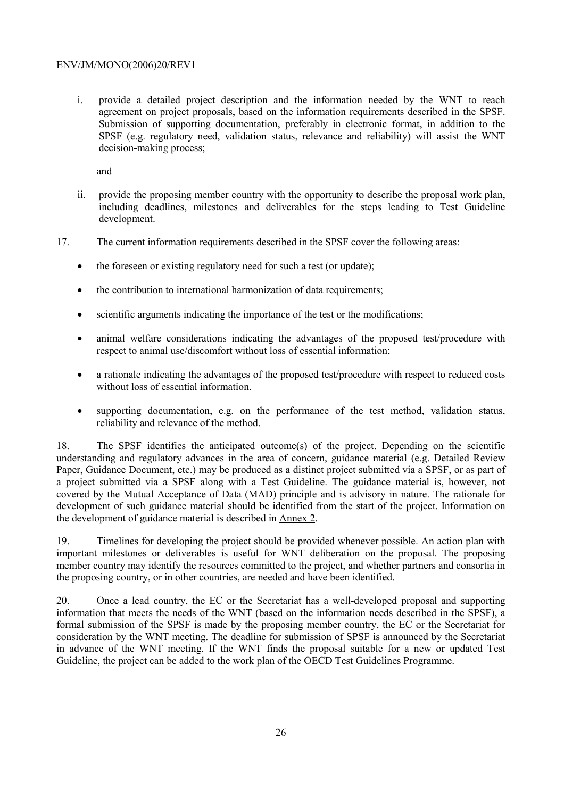i. provide a detailed project description and the information needed by the WNT to reach agreement on project proposals, based on the information requirements described in the SPSF. Submission of supporting documentation, preferably in electronic format, in addition to the SPSF (e.g. regulatory need, validation status, relevance and reliability) will assist the WNT decision-making process;

and

- ii. provide the proposing member country with the opportunity to describe the proposal work plan, including deadlines, milestones and deliverables for the steps leading to Test Guideline development.
- 17. The current information requirements described in the SPSF cover the following areas:
	- the foreseen or existing regulatory need for such a test (or update):
	- the contribution to international harmonization of data requirements;
	- scientific arguments indicating the importance of the test or the modifications;
	- animal welfare considerations indicating the advantages of the proposed test/procedure with respect to animal use/discomfort without loss of essential information;
	- a rationale indicating the advantages of the proposed test/procedure with respect to reduced costs without loss of essential information.
	- supporting documentation, e.g. on the performance of the test method, validation status, reliability and relevance of the method.

18. The SPSF identifies the anticipated outcome(s) of the project. Depending on the scientific understanding and regulatory advances in the area of concern, guidance material (e.g. Detailed Review Paper, Guidance Document, etc.) may be produced as a distinct project submitted via a SPSF, or as part of a project submitted via a SPSF along with a Test Guideline. The guidance material is, however, not covered by the Mutual Acceptance of Data (MAD) principle and is advisory in nature. The rationale for development of such guidance material should be identified from the start of the project. Information on the development of guidance material is described in Annex 2.

19. Timelines for developing the project should be provided whenever possible. An action plan with important milestones or deliverables is useful for WNT deliberation on the proposal. The proposing member country may identify the resources committed to the project, and whether partners and consortia in the proposing country, or in other countries, are needed and have been identified.

20. Once a lead country, the EC or the Secretariat has a well-developed proposal and supporting information that meets the needs of the WNT (based on the information needs described in the SPSF), a formal submission of the SPSF is made by the proposing member country, the EC or the Secretariat for consideration by the WNT meeting. The deadline for submission of SPSF is announced by the Secretariat in advance of the WNT meeting. If the WNT finds the proposal suitable for a new or updated Test Guideline, the project can be added to the work plan of the OECD Test Guidelines Programme.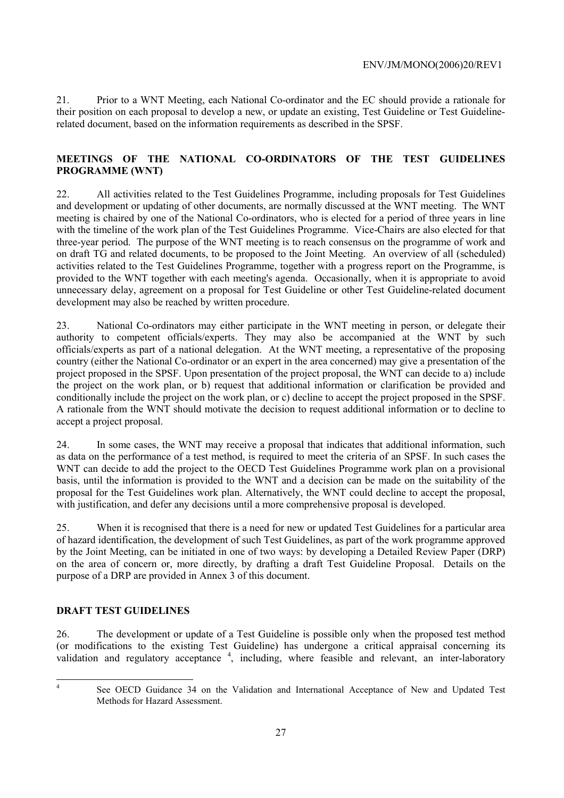21. Prior to a WNT Meeting, each National Co-ordinator and the EC should provide a rationale for their position on each proposal to develop a new, or update an existing, Test Guideline or Test Guidelinerelated document, based on the information requirements as described in the SPSF.

#### **MEETINGS OF THE NATIONAL CO-ORDINATORS OF THE TEST GUIDELINES PROGRAMME (WNT)**

22. All activities related to the Test Guidelines Programme, including proposals for Test Guidelines and development or updating of other documents, are normally discussed at the WNT meeting. The WNT meeting is chaired by one of the National Co-ordinators, who is elected for a period of three years in line with the timeline of the work plan of the Test Guidelines Programme. Vice-Chairs are also elected for that three-year period. The purpose of the WNT meeting is to reach consensus on the programme of work and on draft TG and related documents, to be proposed to the Joint Meeting. An overview of all (scheduled) activities related to the Test Guidelines Programme, together with a progress report on the Programme, is provided to the WNT together with each meeting's agenda. Occasionally, when it is appropriate to avoid unnecessary delay, agreement on a proposal for Test Guideline or other Test Guideline-related document development may also be reached by written procedure.

23. National Co-ordinators may either participate in the WNT meeting in person, or delegate their authority to competent officials/experts. They may also be accompanied at the WNT by such officials/experts as part of a national delegation. At the WNT meeting, a representative of the proposing country (either the National Co-ordinator or an expert in the area concerned) may give a presentation of the project proposed in the SPSF. Upon presentation of the project proposal, the WNT can decide to a) include the project on the work plan, or b) request that additional information or clarification be provided and conditionally include the project on the work plan, or c) decline to accept the project proposed in the SPSF. A rationale from the WNT should motivate the decision to request additional information or to decline to accept a project proposal.

24. In some cases, the WNT may receive a proposal that indicates that additional information, such as data on the performance of a test method, is required to meet the criteria of an SPSF. In such cases the WNT can decide to add the project to the OECD Test Guidelines Programme work plan on a provisional basis, until the information is provided to the WNT and a decision can be made on the suitability of the proposal for the Test Guidelines work plan. Alternatively, the WNT could decline to accept the proposal, with justification, and defer any decisions until a more comprehensive proposal is developed.

25. When it is recognised that there is a need for new or updated Test Guidelines for a particular area of hazard identification, the development of such Test Guidelines, as part of the work programme approved by the Joint Meeting, can be initiated in one of two ways: by developing a Detailed Review Paper (DRP) on the area of concern or, more directly, by drafting a draft Test Guideline Proposal. Details on the purpose of a DRP are provided in Annex 3 of this document.

#### **DRAFT TEST GUIDELINES**

26. The development or update of a Test Guideline is possible only when the proposed test method (or modifications to the existing Test Guideline) has undergone a critical appraisal concerning its validation and regulatory acceptance <sup>4</sup>, including, where feasible and relevant, an inter-laboratory

 $\frac{1}{4}$ 

See OECD Guidance 34 on the Validation and International Acceptance of New and Updated Test Methods for Hazard Assessment.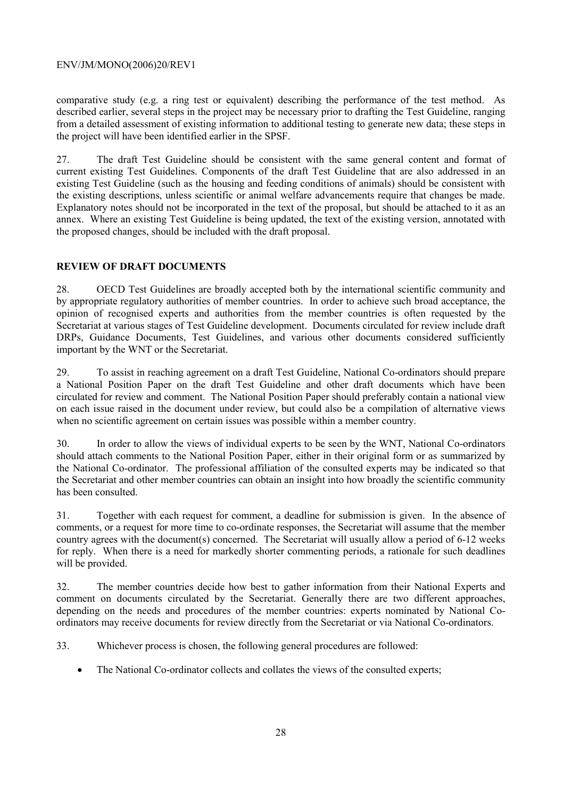comparative study (e.g. a ring test or equivalent) describing the performance of the test method. As described earlier, several steps in the project may be necessary prior to drafting the Test Guideline, ranging from a detailed assessment of existing information to additional testing to generate new data; these steps in the project will have been identified earlier in the SPSF.

27. The draft Test Guideline should be consistent with the same general content and format of current existing Test Guidelines. Components of the draft Test Guideline that are also addressed in an existing Test Guideline (such as the housing and feeding conditions of animals) should be consistent with the existing descriptions, unless scientific or animal welfare advancements require that changes be made. Explanatory notes should not be incorporated in the text of the proposal, but should be attached to it as an annex. Where an existing Test Guideline is being updated, the text of the existing version, annotated with the proposed changes, should be included with the draft proposal.

#### **REVIEW OF DRAFT DOCUMENTS**

28. OECD Test Guidelines are broadly accepted both by the international scientific community and by appropriate regulatory authorities of member countries. In order to achieve such broad acceptance, the opinion of recognised experts and authorities from the member countries is often requested by the Secretariat at various stages of Test Guideline development. Documents circulated for review include draft DRPs, Guidance Documents, Test Guidelines, and various other documents considered sufficiently important by the WNT or the Secretariat.

29. To assist in reaching agreement on a draft Test Guideline, National Co-ordinators should prepare a National Position Paper on the draft Test Guideline and other draft documents which have been circulated for review and comment. The National Position Paper should preferably contain a national view on each issue raised in the document under review, but could also be a compilation of alternative views when no scientific agreement on certain issues was possible within a member country.

30. In order to allow the views of individual experts to be seen by the WNT, National Co-ordinators should attach comments to the National Position Paper, either in their original form or as summarized by the National Co-ordinator. The professional affiliation of the consulted experts may be indicated so that the Secretariat and other member countries can obtain an insight into how broadly the scientific community has been consulted.

31. Together with each request for comment, a deadline for submission is given. In the absence of comments, or a request for more time to co-ordinate responses, the Secretariat will assume that the member country agrees with the document(s) concerned. The Secretariat will usually allow a period of 6-12 weeks for reply. When there is a need for markedly shorter commenting periods, a rationale for such deadlines will be provided.

32. The member countries decide how best to gather information from their National Experts and comment on documents circulated by the Secretariat. Generally there are two different approaches, depending on the needs and procedures of the member countries: experts nominated by National Coordinators may receive documents for review directly from the Secretariat or via National Co-ordinators.

33. Whichever process is chosen, the following general procedures are followed:

• The National Co-ordinator collects and collates the views of the consulted experts;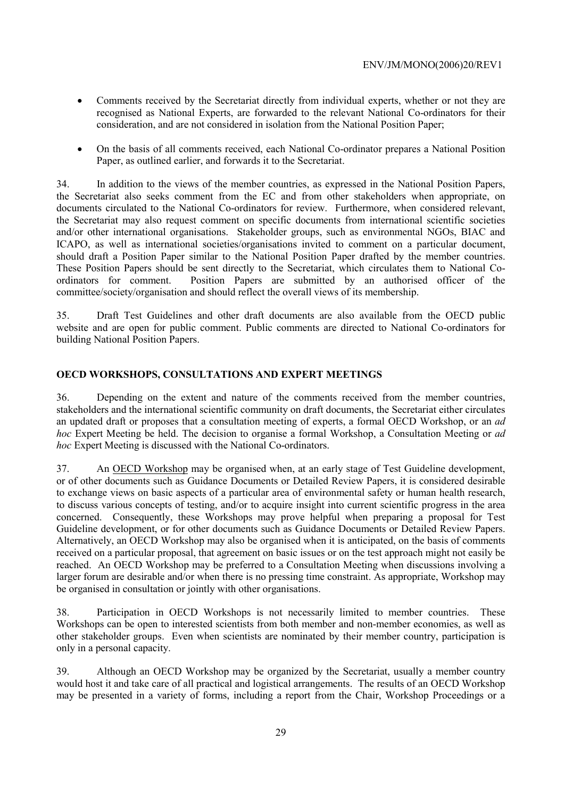- Comments received by the Secretariat directly from individual experts, whether or not they are recognised as National Experts, are forwarded to the relevant National Co-ordinators for their consideration, and are not considered in isolation from the National Position Paper;
- On the basis of all comments received, each National Co-ordinator prepares a National Position Paper, as outlined earlier, and forwards it to the Secretariat.

34. In addition to the views of the member countries, as expressed in the National Position Papers, the Secretariat also seeks comment from the EC and from other stakeholders when appropriate, on documents circulated to the National Co-ordinators for review. Furthermore, when considered relevant, the Secretariat may also request comment on specific documents from international scientific societies and/or other international organisations. Stakeholder groups, such as environmental NGOs, BIAC and ICAPO, as well as international societies/organisations invited to comment on a particular document, should draft a Position Paper similar to the National Position Paper drafted by the member countries. These Position Papers should be sent directly to the Secretariat, which circulates them to National Coordinators for comment. Position Papers are submitted by an authorised officer of the committee/society/organisation and should reflect the overall views of its membership.

35. Draft Test Guidelines and other draft documents are also available from the OECD public website and are open for public comment. Public comments are directed to National Co-ordinators for building National Position Papers.

#### **OECD WORKSHOPS, CONSULTATIONS AND EXPERT MEETINGS**

36. Depending on the extent and nature of the comments received from the member countries, stakeholders and the international scientific community on draft documents, the Secretariat either circulates an updated draft or proposes that a consultation meeting of experts, a formal OECD Workshop, or an *ad hoc* Expert Meeting be held. The decision to organise a formal Workshop, a Consultation Meeting or *ad hoc* Expert Meeting is discussed with the National Co-ordinators.

37. An OECD Workshop may be organised when, at an early stage of Test Guideline development, or of other documents such as Guidance Documents or Detailed Review Papers, it is considered desirable to exchange views on basic aspects of a particular area of environmental safety or human health research, to discuss various concepts of testing, and/or to acquire insight into current scientific progress in the area concerned. Consequently, these Workshops may prove helpful when preparing a proposal for Test Guideline development, or for other documents such as Guidance Documents or Detailed Review Papers. Alternatively, an OECD Workshop may also be organised when it is anticipated, on the basis of comments received on a particular proposal, that agreement on basic issues or on the test approach might not easily be reached. An OECD Workshop may be preferred to a Consultation Meeting when discussions involving a larger forum are desirable and/or when there is no pressing time constraint. As appropriate, Workshop may be organised in consultation or jointly with other organisations.

38. Participation in OECD Workshops is not necessarily limited to member countries. These Workshops can be open to interested scientists from both member and non-member economies, as well as other stakeholder groups. Even when scientists are nominated by their member country, participation is only in a personal capacity.

39. Although an OECD Workshop may be organized by the Secretariat, usually a member country would host it and take care of all practical and logistical arrangements. The results of an OECD Workshop may be presented in a variety of forms, including a report from the Chair, Workshop Proceedings or a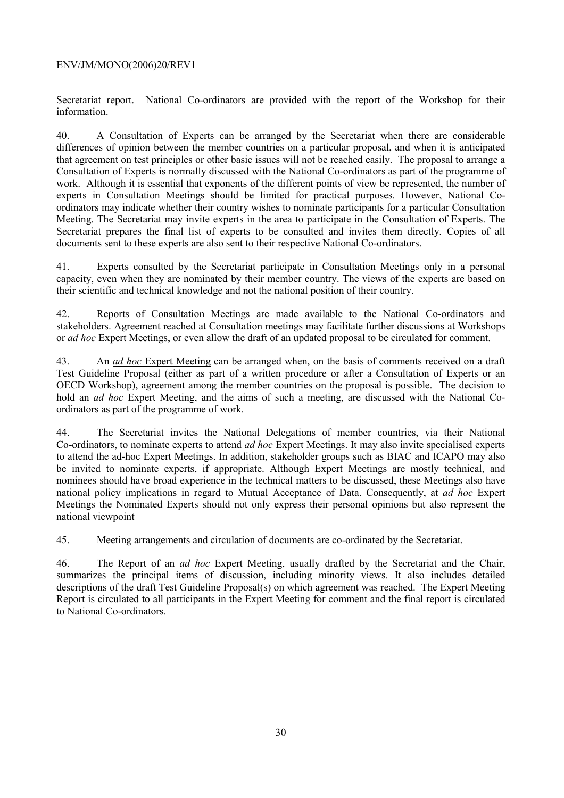Secretariat report. National Co-ordinators are provided with the report of the Workshop for their information.

40. A Consultation of Experts can be arranged by the Secretariat when there are considerable differences of opinion between the member countries on a particular proposal, and when it is anticipated that agreement on test principles or other basic issues will not be reached easily. The proposal to arrange a Consultation of Experts is normally discussed with the National Co-ordinators as part of the programme of work. Although it is essential that exponents of the different points of view be represented, the number of experts in Consultation Meetings should be limited for practical purposes. However, National Coordinators may indicate whether their country wishes to nominate participants for a particular Consultation Meeting. The Secretariat may invite experts in the area to participate in the Consultation of Experts. The Secretariat prepares the final list of experts to be consulted and invites them directly. Copies of all documents sent to these experts are also sent to their respective National Co-ordinators.

41. Experts consulted by the Secretariat participate in Consultation Meetings only in a personal capacity, even when they are nominated by their member country. The views of the experts are based on their scientific and technical knowledge and not the national position of their country.

42. Reports of Consultation Meetings are made available to the National Co-ordinators and stakeholders. Agreement reached at Consultation meetings may facilitate further discussions at Workshops or *ad hoc* Expert Meetings, or even allow the draft of an updated proposal to be circulated for comment.

43. An *ad hoc* Expert Meeting can be arranged when, on the basis of comments received on a draft Test Guideline Proposal (either as part of a written procedure or after a Consultation of Experts or an OECD Workshop), agreement among the member countries on the proposal is possible. The decision to hold an *ad hoc* Expert Meeting, and the aims of such a meeting, are discussed with the National Coordinators as part of the programme of work.

44. The Secretariat invites the National Delegations of member countries, via their National Co-ordinators, to nominate experts to attend *ad hoc* Expert Meetings. It may also invite specialised experts to attend the ad-hoc Expert Meetings. In addition, stakeholder groups such as BIAC and ICAPO may also be invited to nominate experts, if appropriate. Although Expert Meetings are mostly technical, and nominees should have broad experience in the technical matters to be discussed, these Meetings also have national policy implications in regard to Mutual Acceptance of Data. Consequently, at *ad hoc* Expert Meetings the Nominated Experts should not only express their personal opinions but also represent the national viewpoint

45. Meeting arrangements and circulation of documents are co-ordinated by the Secretariat.

46. The Report of an *ad hoc* Expert Meeting, usually drafted by the Secretariat and the Chair, summarizes the principal items of discussion, including minority views. It also includes detailed descriptions of the draft Test Guideline Proposal(s) on which agreement was reached. The Expert Meeting Report is circulated to all participants in the Expert Meeting for comment and the final report is circulated to National Co-ordinators.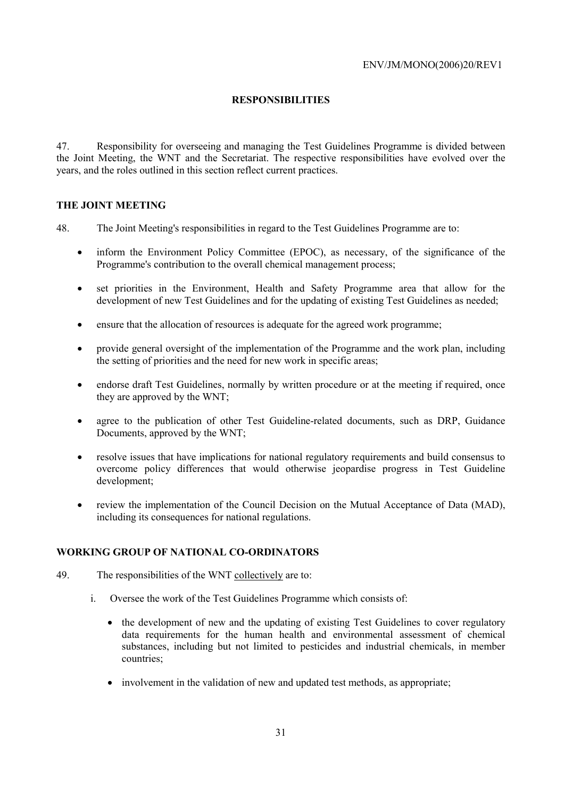#### **RESPONSIBILITIES**

47. Responsibility for overseeing and managing the Test Guidelines Programme is divided between the Joint Meeting, the WNT and the Secretariat. The respective responsibilities have evolved over the years, and the roles outlined in this section reflect current practices.

#### **THE JOINT MEETING**

48. The Joint Meeting's responsibilities in regard to the Test Guidelines Programme are to:

- inform the Environment Policy Committee (EPOC), as necessary, of the significance of the Programme's contribution to the overall chemical management process;
- set priorities in the Environment, Health and Safety Programme area that allow for the development of new Test Guidelines and for the updating of existing Test Guidelines as needed;
- ensure that the allocation of resources is adequate for the agreed work programme;
- provide general oversight of the implementation of the Programme and the work plan, including the setting of priorities and the need for new work in specific areas;
- endorse draft Test Guidelines, normally by written procedure or at the meeting if required, once they are approved by the WNT;
- agree to the publication of other Test Guideline-related documents, such as DRP, Guidance Documents, approved by the WNT;
- resolve issues that have implications for national regulatory requirements and build consensus to overcome policy differences that would otherwise jeopardise progress in Test Guideline development;
- review the implementation of the Council Decision on the Mutual Acceptance of Data (MAD), including its consequences for national regulations.

#### **WORKING GROUP OF NATIONAL CO-ORDINATORS**

- 49. The responsibilities of the WNT collectively are to:
	- i. Oversee the work of the Test Guidelines Programme which consists of:
		- the development of new and the updating of existing Test Guidelines to cover regulatory data requirements for the human health and environmental assessment of chemical substances, including but not limited to pesticides and industrial chemicals, in member countries;
		- involvement in the validation of new and updated test methods, as appropriate;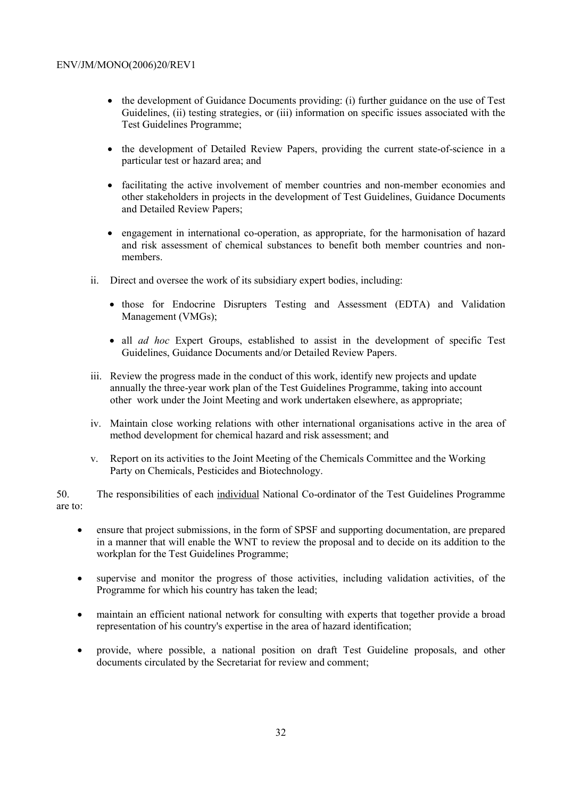- the development of Guidance Documents providing: (i) further guidance on the use of Test Guidelines, (ii) testing strategies, or (iii) information on specific issues associated with the Test Guidelines Programme;
- the development of Detailed Review Papers, providing the current state-of-science in a particular test or hazard area; and
- facilitating the active involvement of member countries and non-member economies and other stakeholders in projects in the development of Test Guidelines, Guidance Documents and Detailed Review Papers;
- engagement in international co-operation, as appropriate, for the harmonisation of hazard and risk assessment of chemical substances to benefit both member countries and nonmembers.
- ii. Direct and oversee the work of its subsidiary expert bodies, including:
	- those for Endocrine Disrupters Testing and Assessment (EDTA) and Validation Management (VMGs);
	- all *ad hoc* Expert Groups, established to assist in the development of specific Test Guidelines, Guidance Documents and/or Detailed Review Papers.
- iii. Review the progress made in the conduct of this work, identify new projects and update annually the three-year work plan of the Test Guidelines Programme, taking into account other work under the Joint Meeting and work undertaken elsewhere, as appropriate;
- iv. Maintain close working relations with other international organisations active in the area of method development for chemical hazard and risk assessment; and
- v. Report on its activities to the Joint Meeting of the Chemicals Committee and the Working Party on Chemicals, Pesticides and Biotechnology.

50. The responsibilities of each individual National Co-ordinator of the Test Guidelines Programme are to:

- ensure that project submissions, in the form of SPSF and supporting documentation, are prepared in a manner that will enable the WNT to review the proposal and to decide on its addition to the workplan for the Test Guidelines Programme;
- supervise and monitor the progress of those activities, including validation activities, of the Programme for which his country has taken the lead;
- maintain an efficient national network for consulting with experts that together provide a broad representation of his country's expertise in the area of hazard identification;
- provide, where possible, a national position on draft Test Guideline proposals, and other documents circulated by the Secretariat for review and comment;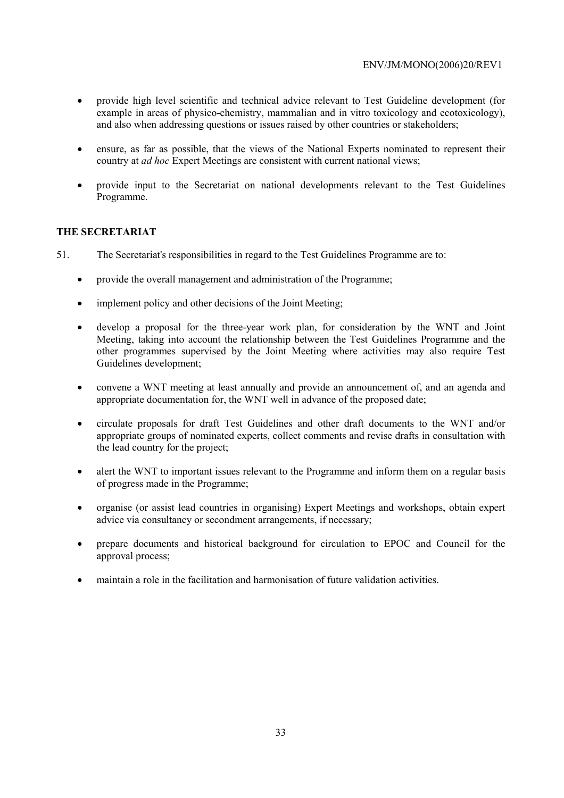- provide high level scientific and technical advice relevant to Test Guideline development (for example in areas of physico-chemistry, mammalian and in vitro toxicology and ecotoxicology), and also when addressing questions or issues raised by other countries or stakeholders;
- ensure, as far as possible, that the views of the National Experts nominated to represent their country at *ad hoc* Expert Meetings are consistent with current national views;
- provide input to the Secretariat on national developments relevant to the Test Guidelines Programme.

#### **THE SECRETARIAT**

51. The Secretariat's responsibilities in regard to the Test Guidelines Programme are to:

- provide the overall management and administration of the Programme;
- implement policy and other decisions of the Joint Meeting:
- develop a proposal for the three-year work plan, for consideration by the WNT and Joint Meeting, taking into account the relationship between the Test Guidelines Programme and the other programmes supervised by the Joint Meeting where activities may also require Test Guidelines development;
- convene a WNT meeting at least annually and provide an announcement of, and an agenda and appropriate documentation for, the WNT well in advance of the proposed date;
- circulate proposals for draft Test Guidelines and other draft documents to the WNT and/or appropriate groups of nominated experts, collect comments and revise drafts in consultation with the lead country for the project;
- alert the WNT to important issues relevant to the Programme and inform them on a regular basis of progress made in the Programme;
- organise (or assist lead countries in organising) Expert Meetings and workshops, obtain expert advice via consultancy or secondment arrangements, if necessary;
- prepare documents and historical background for circulation to EPOC and Council for the approval process;
- maintain a role in the facilitation and harmonisation of future validation activities.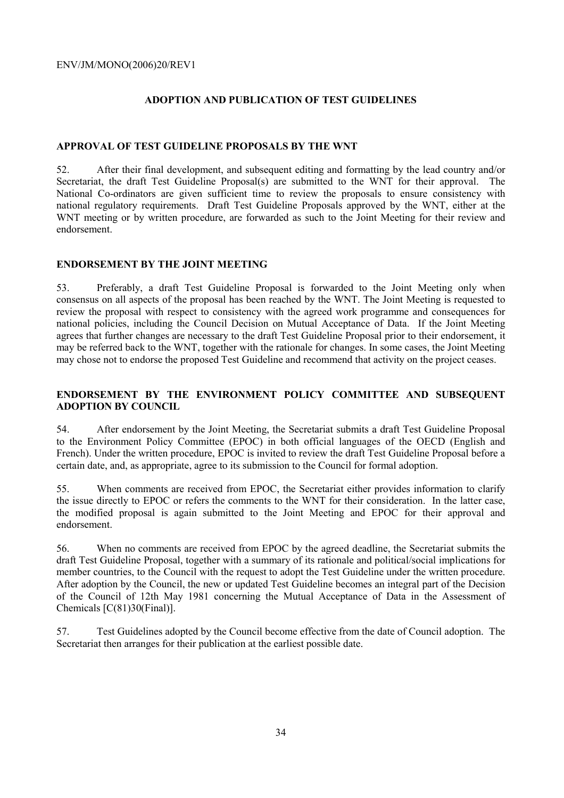#### **ADOPTION AND PUBLICATION OF TEST GUIDELINES**

#### **APPROVAL OF TEST GUIDELINE PROPOSALS BY THE WNT**

52. After their final development, and subsequent editing and formatting by the lead country and/or Secretariat, the draft Test Guideline Proposal(s) are submitted to the WNT for their approval. The National Co-ordinators are given sufficient time to review the proposals to ensure consistency with national regulatory requirements. Draft Test Guideline Proposals approved by the WNT, either at the WNT meeting or by written procedure, are forwarded as such to the Joint Meeting for their review and endorsement.

#### **ENDORSEMENT BY THE JOINT MEETING**

53. Preferably, a draft Test Guideline Proposal is forwarded to the Joint Meeting only when consensus on all aspects of the proposal has been reached by the WNT. The Joint Meeting is requested to review the proposal with respect to consistency with the agreed work programme and consequences for national policies, including the Council Decision on Mutual Acceptance of Data. If the Joint Meeting agrees that further changes are necessary to the draft Test Guideline Proposal prior to their endorsement, it may be referred back to the WNT, together with the rationale for changes. In some cases, the Joint Meeting may chose not to endorse the proposed Test Guideline and recommend that activity on the project ceases.

#### **ENDORSEMENT BY THE ENVIRONMENT POLICY COMMITTEE AND SUBSEQUENT ADOPTION BY COUNCIL**

54. After endorsement by the Joint Meeting, the Secretariat submits a draft Test Guideline Proposal to the Environment Policy Committee (EPOC) in both official languages of the OECD (English and French). Under the written procedure, EPOC is invited to review the draft Test Guideline Proposal before a certain date, and, as appropriate, agree to its submission to the Council for formal adoption.

55. When comments are received from EPOC, the Secretariat either provides information to clarify the issue directly to EPOC or refers the comments to the WNT for their consideration. In the latter case, the modified proposal is again submitted to the Joint Meeting and EPOC for their approval and endorsement.

56. When no comments are received from EPOC by the agreed deadline, the Secretariat submits the draft Test Guideline Proposal, together with a summary of its rationale and political/social implications for member countries, to the Council with the request to adopt the Test Guideline under the written procedure. After adoption by the Council, the new or updated Test Guideline becomes an integral part of the Decision of the Council of 12th May 1981 concerning the Mutual Acceptance of Data in the Assessment of Chemicals [C(81)30(Final)].

57. Test Guidelines adopted by the Council become effective from the date of Council adoption. The Secretariat then arranges for their publication at the earliest possible date.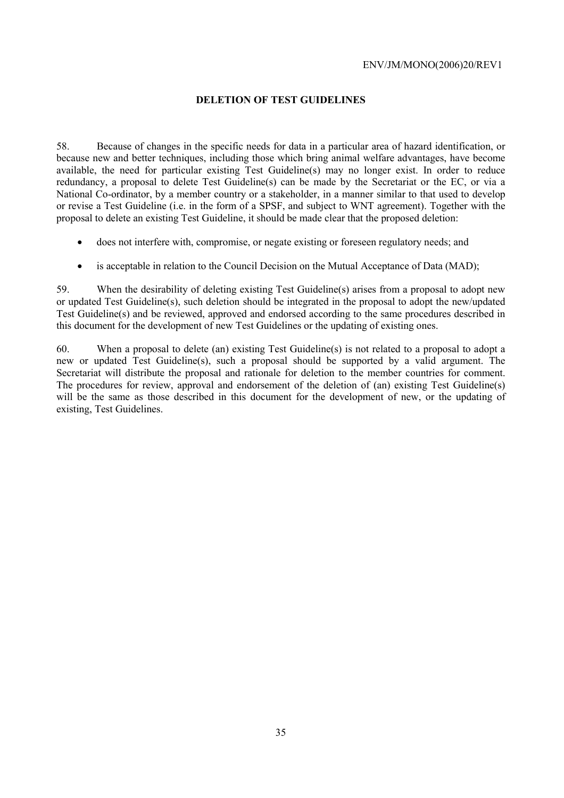#### **DELETION OF TEST GUIDELINES**

58. Because of changes in the specific needs for data in a particular area of hazard identification, or because new and better techniques, including those which bring animal welfare advantages, have become available, the need for particular existing Test Guideline(s) may no longer exist. In order to reduce redundancy, a proposal to delete Test Guideline(s) can be made by the Secretariat or the EC, or via a National Co-ordinator, by a member country or a stakeholder, in a manner similar to that used to develop or revise a Test Guideline (i.e. in the form of a SPSF, and subject to WNT agreement). Together with the proposal to delete an existing Test Guideline, it should be made clear that the proposed deletion:

- does not interfere with, compromise, or negate existing or foreseen regulatory needs; and
- is acceptable in relation to the Council Decision on the Mutual Acceptance of Data (MAD):

59. When the desirability of deleting existing Test Guideline(s) arises from a proposal to adopt new or updated Test Guideline(s), such deletion should be integrated in the proposal to adopt the new/updated Test Guideline(s) and be reviewed, approved and endorsed according to the same procedures described in this document for the development of new Test Guidelines or the updating of existing ones.

60. When a proposal to delete (an) existing Test Guideline(s) is not related to a proposal to adopt a new or updated Test Guideline(s), such a proposal should be supported by a valid argument. The Secretariat will distribute the proposal and rationale for deletion to the member countries for comment. The procedures for review, approval and endorsement of the deletion of (an) existing Test Guideline(s) will be the same as those described in this document for the development of new, or the updating of existing, Test Guidelines.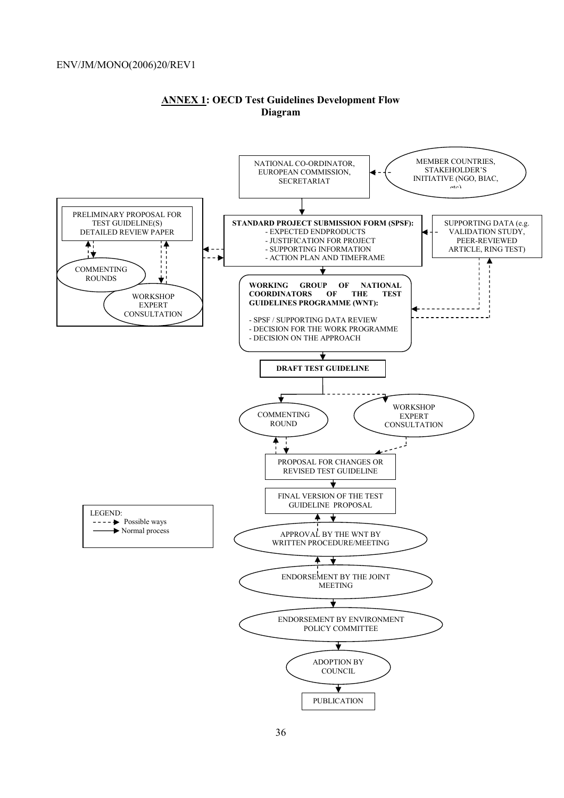

#### **ANNEX 1: OECD Test Guidelines Development Flow Diagram**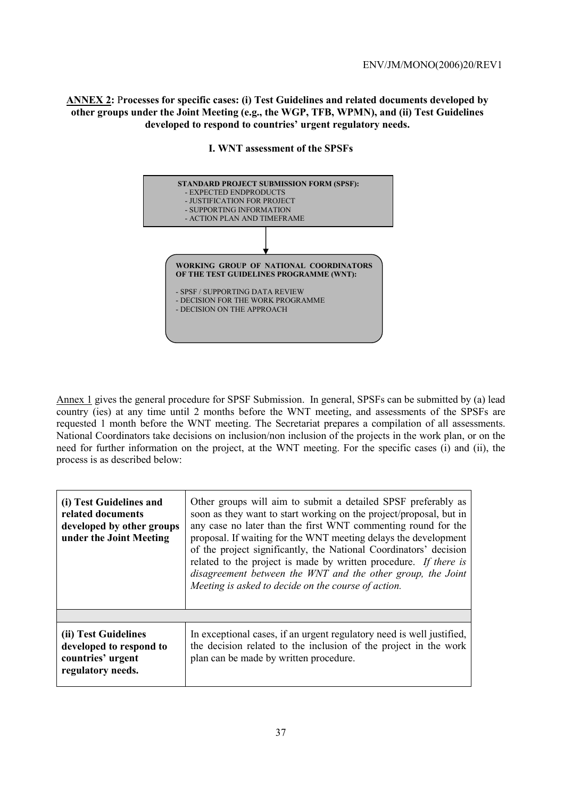**ANNEX 2:** P**rocesses for specific cases: (i) Test Guidelines and related documents developed by other groups under the Joint Meeting (e.g., the WGP, TFB, WPMN), and (ii) Test Guidelines developed to respond to countries' urgent regulatory needs.** 



#### **I. WNT assessment of the SPSFs**

Annex 1 gives the general procedure for SPSF Submission. In general, SPSFs can be submitted by (a) lead country (ies) at any time until 2 months before the WNT meeting, and assessments of the SPSFs are requested 1 month before the WNT meeting. The Secretariat prepares a compilation of all assessments. National Coordinators take decisions on inclusion/non inclusion of the projects in the work plan, or on the need for further information on the project, at the WNT meeting. For the specific cases (i) and (ii), the process is as described below:

| (i) Test Guidelines and<br>related documents<br>developed by other groups<br>under the Joint Meeting | Other groups will aim to submit a detailed SPSF preferably as<br>soon as they want to start working on the project/proposal, but in<br>any case no later than the first WNT commenting round for the<br>proposal. If waiting for the WNT meeting delays the development<br>of the project significantly, the National Coordinators' decision<br>related to the project is made by written procedure. If there is<br>disagreement between the WNT and the other group, the Joint<br>Meeting is asked to decide on the course of action. |
|------------------------------------------------------------------------------------------------------|----------------------------------------------------------------------------------------------------------------------------------------------------------------------------------------------------------------------------------------------------------------------------------------------------------------------------------------------------------------------------------------------------------------------------------------------------------------------------------------------------------------------------------------|
|                                                                                                      |                                                                                                                                                                                                                                                                                                                                                                                                                                                                                                                                        |
| (ii) Test Guidelines<br>developed to respond to<br>countries' urgent<br>regulatory needs.            | In exceptional cases, if an urgent regulatory need is well justified,<br>the decision related to the inclusion of the project in the work<br>plan can be made by written procedure.                                                                                                                                                                                                                                                                                                                                                    |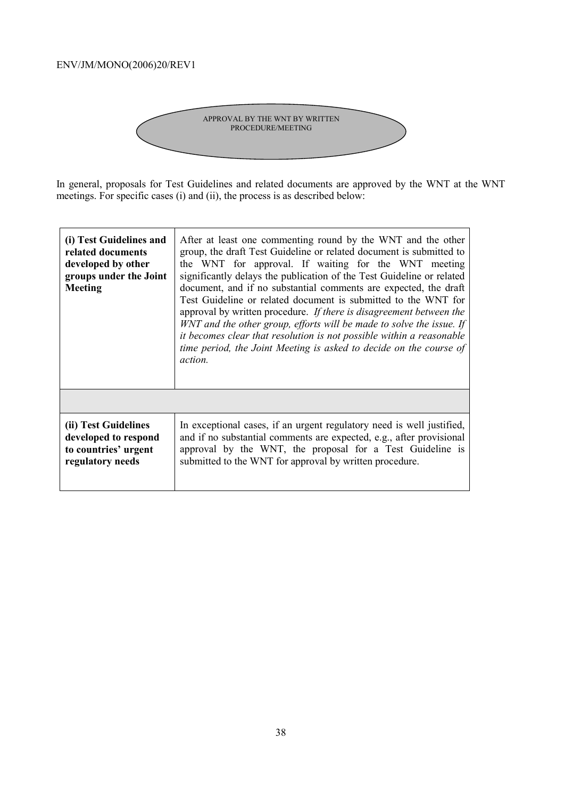

In general, proposals for Test Guidelines and related documents are approved by the WNT at the WNT meetings. For specific cases (i) and (ii), the process is as described below:

| (i) Test Guidelines and<br>related documents<br>developed by other<br>groups under the Joint<br><b>Meeting</b> | After at least one commenting round by the WNT and the other<br>group, the draft Test Guideline or related document is submitted to<br>the WNT for approval. If waiting for the WNT meeting<br>significantly delays the publication of the Test Guideline or related<br>document, and if no substantial comments are expected, the draft<br>Test Guideline or related document is submitted to the WNT for<br>approval by written procedure. If there is disagreement between the<br>WNT and the other group, efforts will be made to solve the issue. If<br>it becomes clear that resolution is not possible within a reasonable<br>time period, the Joint Meeting is asked to decide on the course of<br><i>action.</i> |
|----------------------------------------------------------------------------------------------------------------|---------------------------------------------------------------------------------------------------------------------------------------------------------------------------------------------------------------------------------------------------------------------------------------------------------------------------------------------------------------------------------------------------------------------------------------------------------------------------------------------------------------------------------------------------------------------------------------------------------------------------------------------------------------------------------------------------------------------------|
| (ii) Test Guidelines                                                                                           | In exceptional cases, if an urgent regulatory need is well justified,                                                                                                                                                                                                                                                                                                                                                                                                                                                                                                                                                                                                                                                     |
| developed to respond                                                                                           | and if no substantial comments are expected, e.g., after provisional                                                                                                                                                                                                                                                                                                                                                                                                                                                                                                                                                                                                                                                      |
| to countries' urgent                                                                                           | approval by the WNT, the proposal for a Test Guideline is                                                                                                                                                                                                                                                                                                                                                                                                                                                                                                                                                                                                                                                                 |
| regulatory needs                                                                                               | submitted to the WNT for approval by written procedure.                                                                                                                                                                                                                                                                                                                                                                                                                                                                                                                                                                                                                                                                   |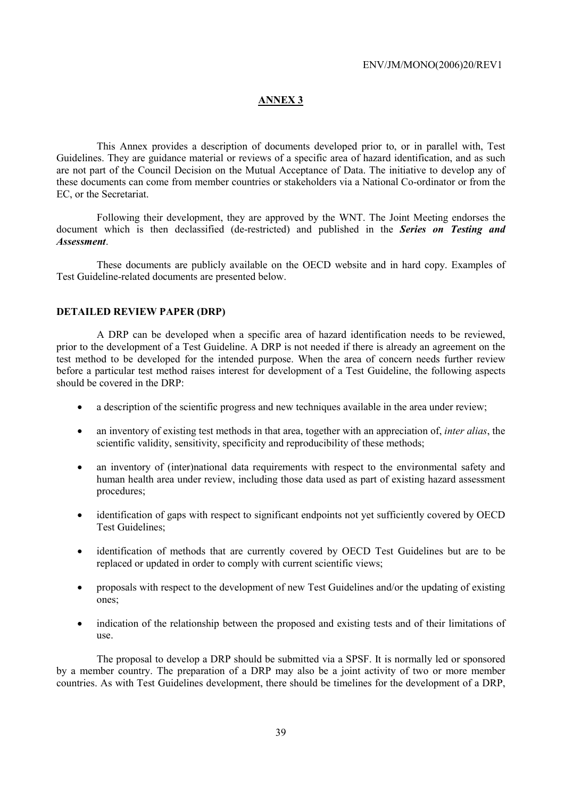#### **ANNEX 3**

This Annex provides a description of documents developed prior to, or in parallel with, Test Guidelines. They are guidance material or reviews of a specific area of hazard identification, and as such are not part of the Council Decision on the Mutual Acceptance of Data. The initiative to develop any of these documents can come from member countries or stakeholders via a National Co-ordinator or from the EC, or the Secretariat.

Following their development, they are approved by the WNT. The Joint Meeting endorses the document which is then declassified (de-restricted) and published in the *Series on Testing and Assessment*.

These documents are publicly available on the OECD website and in hard copy. Examples of Test Guideline-related documents are presented below.

#### **DETAILED REVIEW PAPER (DRP)**

A DRP can be developed when a specific area of hazard identification needs to be reviewed, prior to the development of a Test Guideline. A DRP is not needed if there is already an agreement on the test method to be developed for the intended purpose. When the area of concern needs further review before a particular test method raises interest for development of a Test Guideline, the following aspects should be covered in the DRP:

- a description of the scientific progress and new techniques available in the area under review;
- an inventory of existing test methods in that area, together with an appreciation of, *inter alias*, the scientific validity, sensitivity, specificity and reproducibility of these methods;
- an inventory of (inter)national data requirements with respect to the environmental safety and human health area under review, including those data used as part of existing hazard assessment procedures;
- identification of gaps with respect to significant endpoints not yet sufficiently covered by OECD Test Guidelines;
- identification of methods that are currently covered by OECD Test Guidelines but are to be replaced or updated in order to comply with current scientific views;
- proposals with respect to the development of new Test Guidelines and/or the updating of existing ones;
- indication of the relationship between the proposed and existing tests and of their limitations of use.

The proposal to develop a DRP should be submitted via a SPSF. It is normally led or sponsored by a member country. The preparation of a DRP may also be a joint activity of two or more member countries. As with Test Guidelines development, there should be timelines for the development of a DRP,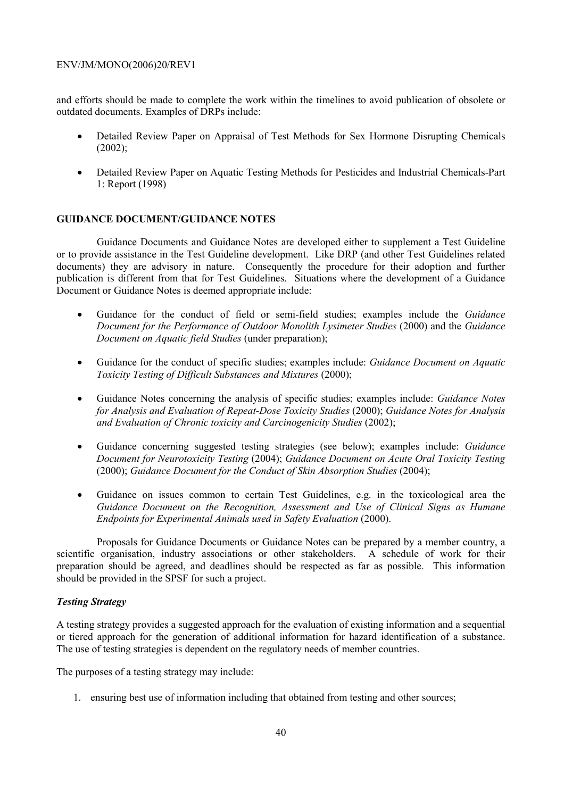and efforts should be made to complete the work within the timelines to avoid publication of obsolete or outdated documents. Examples of DRPs include:

- Detailed Review Paper on Appraisal of Test Methods for Sex Hormone Disrupting Chemicals (2002);
- Detailed Review Paper on Aquatic Testing Methods for Pesticides and Industrial Chemicals-Part 1: Report (1998)

#### **GUIDANCE DOCUMENT/GUIDANCE NOTES**

Guidance Documents and Guidance Notes are developed either to supplement a Test Guideline or to provide assistance in the Test Guideline development. Like DRP (and other Test Guidelines related documents) they are advisory in nature. Consequently the procedure for their adoption and further publication is different from that for Test Guidelines. Situations where the development of a Guidance Document or Guidance Notes is deemed appropriate include:

- Guidance for the conduct of field or semi-field studies; examples include the *Guidance Document for the Performance of Outdoor Monolith Lysimeter Studies* (2000) and the *Guidance Document on Aquatic field Studies* (under preparation);
- Guidance for the conduct of specific studies; examples include: *Guidance Document on Aquatic Toxicity Testing of Difficult Substances and Mixtures* (2000);
- Guidance Notes concerning the analysis of specific studies; examples include: *Guidance Notes for Analysis and Evaluation of Repeat-Dose Toxicity Studies* (2000); *Guidance Notes for Analysis and Evaluation of Chronic toxicity and Carcinogenicity Studies* (2002);
- Guidance concerning suggested testing strategies (see below); examples include: *Guidance Document for Neurotoxicity Testing* (2004); *Guidance Document on Acute Oral Toxicity Testing* (2000); *Guidance Document for the Conduct of Skin Absorption Studies* (2004);
- Guidance on issues common to certain Test Guidelines, e.g. in the toxicological area the *Guidance Document on the Recognition, Assessment and Use of Clinical Signs as Humane Endpoints for Experimental Animals used in Safety Evaluation* (2000).

Proposals for Guidance Documents or Guidance Notes can be prepared by a member country, a scientific organisation, industry associations or other stakeholders. A schedule of work for their preparation should be agreed, and deadlines should be respected as far as possible. This information should be provided in the SPSF for such a project.

#### *Testing Strategy*

A testing strategy provides a suggested approach for the evaluation of existing information and a sequential or tiered approach for the generation of additional information for hazard identification of a substance. The use of testing strategies is dependent on the regulatory needs of member countries.

The purposes of a testing strategy may include:

1. ensuring best use of information including that obtained from testing and other sources;